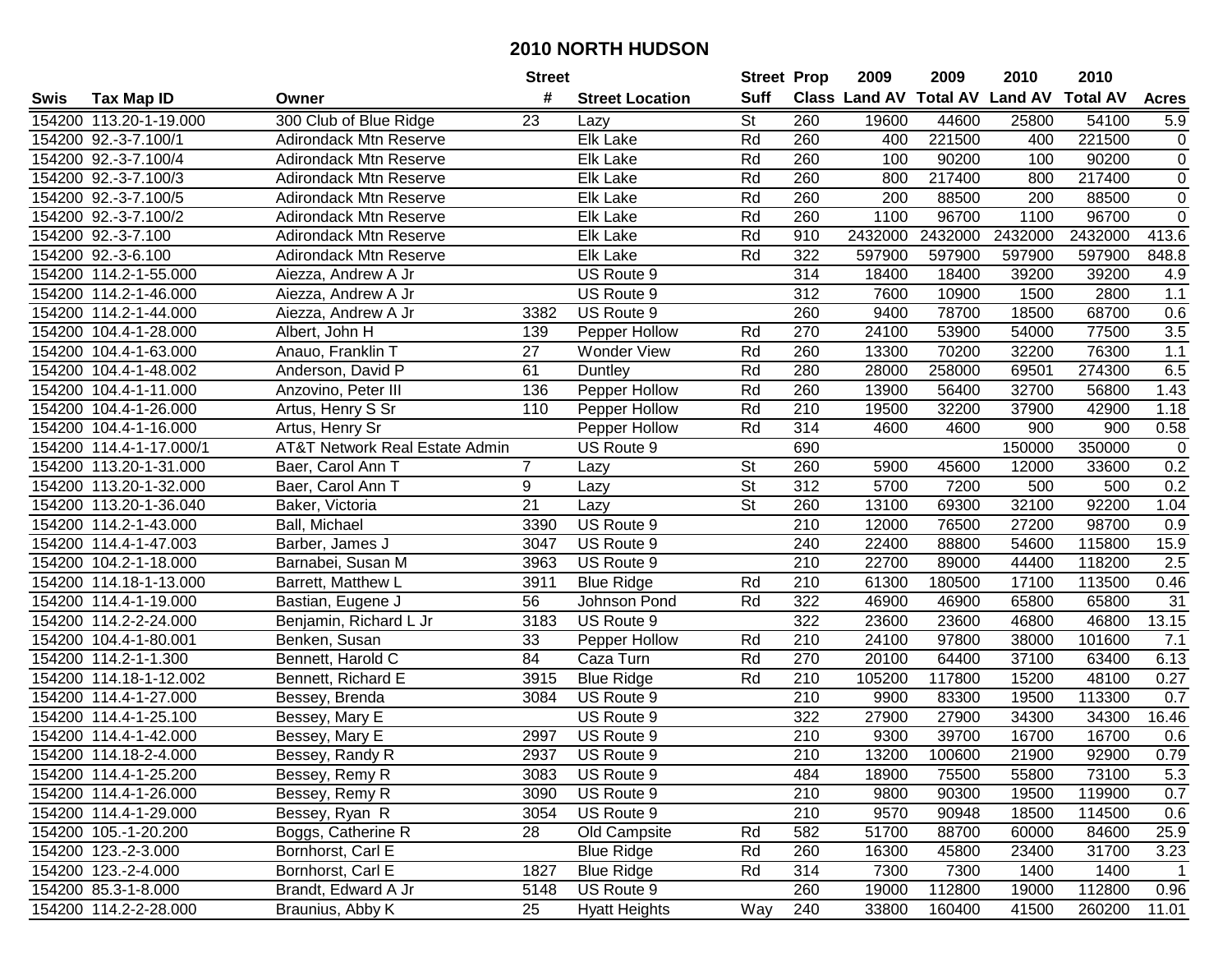|      |                         |                                           | <b>Street</b>   |                        | <b>Street Prop</b>       |     | 2009                          | 2009    | 2010           | 2010            |                 |
|------|-------------------------|-------------------------------------------|-----------------|------------------------|--------------------------|-----|-------------------------------|---------|----------------|-----------------|-----------------|
| Swis | <b>Tax Map ID</b>       | Owner                                     | #               | <b>Street Location</b> | <b>Suff</b>              |     | <b>Class Land AV Total AV</b> |         | <b>Land AV</b> | <b>Total AV</b> | <b>Acres</b>    |
|      | 154200 113.20-1-19.000  | 300 Club of Blue Ridge                    | 23              | Lazy                   | $\overline{\mathsf{St}}$ | 260 | 19600                         | 44600   | 25800          | 54100           | 5.9             |
|      | 154200 92.-3-7.100/1    | <b>Adirondack Mtn Reserve</b>             |                 | Elk Lake               | Rd                       | 260 | 400                           | 221500  | 400            | 221500          | 0               |
|      | 154200 92.-3-7.100/4    | <b>Adirondack Mtn Reserve</b>             |                 | Elk Lake               | Rd                       | 260 | 100                           | 90200   | 100            | 90200           | $\pmb{0}$       |
|      | 154200 92.-3-7.100/3    | <b>Adirondack Mtn Reserve</b>             |                 | Elk Lake               | Rd                       | 260 | 800                           | 217400  | 800            | 217400          | $\mathbf 0$     |
|      | 154200 92.-3-7.100/5    | Adirondack Mtn Reserve                    |                 | Elk Lake               | Rd                       | 260 | 200                           | 88500   | 200            | 88500           | $\overline{0}$  |
|      | 154200 92.-3-7.100/2    | <b>Adirondack Mtn Reserve</b>             |                 | Elk Lake               | Rd                       | 260 | 1100                          | 96700   | 1100           | 96700           | $\overline{0}$  |
|      | 154200 92.-3-7.100      | <b>Adirondack Mtn Reserve</b>             |                 | Elk Lake               | Rd                       | 910 | 2432000                       | 2432000 | 2432000        | 2432000         | 413.6           |
|      | 154200 92.-3-6.100      | Adirondack Mtn Reserve                    |                 | Elk Lake               | Rd                       | 322 | 597900                        | 597900  | 597900         | 597900          | 848.8           |
|      | 154200 114.2-1-55.000   | Aiezza, Andrew A Jr                       |                 | US Route 9             |                          | 314 | 18400                         | 18400   | 39200          | 39200           | 4.9             |
|      | 154200 114.2-1-46.000   | Aiezza, Andrew A Jr                       |                 | US Route 9             |                          | 312 | 7600                          | 10900   | 1500           | 2800            | 1.1             |
|      | 154200 114.2-1-44.000   | Aiezza, Andrew A Jr                       | 3382            | US Route 9             |                          | 260 | 9400                          | 78700   | 18500          | 68700           | 0.6             |
|      | 154200 104.4-1-28.000   | Albert, John H                            | 139             | Pepper Hollow          | Rd                       | 270 | 24100                         | 53900   | 54000          | 77500           | 3.5             |
|      | 154200 104.4-1-63.000   | Anauo, Franklin T                         | 27              | <b>Wonder View</b>     | Rd                       | 260 | 13300                         | 70200   | 32200          | 76300           | 1.1             |
|      | 154200 104.4-1-48.002   | Anderson, David P                         | 61              | Duntley                | Rd                       | 280 | 28000                         | 258000  | 69501          | 274300          | 6.5             |
|      | 154200 104.4-1-11.000   | Anzovino, Peter III                       | 136             | Pepper Hollow          | Rd                       | 260 | 13900                         | 56400   | 32700          | 56800           | 1.43            |
|      | 154200 104.4-1-26.000   | Artus, Henry S Sr                         | 110             | Pepper Hollow          | Rd                       | 210 | 19500                         | 32200   | 37900          | 42900           | 1.18            |
|      | 154200 104.4-1-16.000   | Artus, Henry Sr                           |                 | Pepper Hollow          | Rd                       | 314 | 4600                          | 4600    | 900            | 900             | 0.58            |
|      | 154200 114.4-1-17.000/1 | <b>AT&amp;T Network Real Estate Admin</b> |                 | US Route 9             |                          | 690 |                               |         | 150000         | 350000          | $\mathbf 0$     |
|      | 154200 113.20-1-31.000  | Baer, Carol Ann T                         | 7               | Lazy                   | $\overline{\mathsf{St}}$ | 260 | 5900                          | 45600   | 12000          | 33600           | 0.2             |
|      | 154200 113.20-1-32.000  | Baer, Carol Ann T                         | 9               | Lazy                   | $\overline{\mathsf{St}}$ | 312 | 5700                          | 7200    | 500            | 500             | 0.2             |
|      | 154200 113.20-1-36.040  | Baker, Victoria                           | $\overline{21}$ | Lazy                   | <b>St</b>                | 260 | 13100                         | 69300   | 32100          | 92200           | 1.04            |
|      | 154200 114.2-1-43.000   | Ball, Michael                             | 3390            | US Route 9             |                          | 210 | 12000                         | 76500   | 27200          | 98700           | 0.9             |
|      | 154200 114.4-1-47.003   | Barber, James J                           | 3047            | US Route 9             |                          | 240 | 22400                         | 88800   | 54600          | 115800          | 15.9            |
|      | 154200 104.2-1-18.000   | Barnabei, Susan M                         | 3963            | US Route 9             |                          | 210 | 22700                         | 89000   | 44400          | 118200          | 2.5             |
|      | 154200 114.18-1-13.000  | Barrett, Matthew L                        | 3911            | <b>Blue Ridge</b>      | Rd                       | 210 | 61300                         | 180500  | 17100          | 113500          | 0.46            |
|      | 154200 114.4-1-19.000   | Bastian, Eugene J                         | 56              | Johnson Pond           | Rd                       | 322 | 46900                         | 46900   | 65800          | 65800           | $\overline{31}$ |
|      | 154200 114.2-2-24.000   | Benjamin, Richard L Jr                    | 3183            | US Route 9             |                          | 322 | 23600                         | 23600   | 46800          | 46800           | 13.15           |
|      | 154200 104.4-1-80.001   | Benken, Susan                             | 33              | Pepper Hollow          | Rd                       | 210 | 24100                         | 97800   | 38000          | 101600          | 7.1             |
|      | 154200 114.2-1-1.300    | Bennett, Harold C                         | 84              | Caza Turn              | Rd                       | 270 | 20100                         | 64400   | 37100          | 63400           | 6.13            |
|      | 154200 114.18-1-12.002  | Bennett, Richard E                        | 3915            | <b>Blue Ridge</b>      | Rd                       | 210 | 105200                        | 117800  | 15200          | 48100           | 0.27            |
|      | 154200 114.4-1-27.000   | Bessey, Brenda                            | 3084            | US Route 9             |                          | 210 | 9900                          | 83300   | 19500          | 113300          | 0.7             |
|      | 154200 114.4-1-25.100   | Bessey, Mary E                            |                 | US Route 9             |                          | 322 | 27900                         | 27900   | 34300          | 34300           | 16.46           |
|      | 154200 114.4-1-42.000   | Bessey, Mary E                            | 2997            | US Route 9             |                          | 210 | 9300                          | 39700   | 16700          | 16700           | 0.6             |
|      | 154200 114.18-2-4.000   | Bessey, Randy R                           | 2937            | US Route 9             |                          | 210 | 13200                         | 100600  | 21900          | 92900           | 0.79            |
|      | 154200 114.4-1-25.200   | Bessey, Remy R                            | 3083            | US Route 9             |                          | 484 | 18900                         | 75500   | 55800          | 73100           | 5.3             |
|      | 154200 114.4-1-26.000   | Bessey, Remy R                            | 3090            | US Route 9             |                          | 210 | 9800                          | 90300   | 19500          | 119900          | 0.7             |
|      | 154200 114.4-1-29.000   | Bessey, Ryan R                            | 3054            | US Route 9             |                          | 210 | 9570                          | 90948   | 18500          | 114500          | 0.6             |
|      | 154200 105.-1-20.200    | Boggs, Catherine R                        | 28              | Old Campsite           | Rd                       | 582 | 51700                         | 88700   | 60000          | 84600           | 25.9            |
|      | 154200 123.-2-3.000     | Bornhorst, Carl E                         |                 | <b>Blue Ridge</b>      | Rd                       | 260 | 16300                         | 45800   | 23400          | 31700           | 3.23            |
|      | 154200 123.-2-4.000     | Bornhorst, Carl E                         | 1827            | <b>Blue Ridge</b>      | Rd                       | 314 | 7300                          | 7300    | 1400           | 1400            | $\overline{1}$  |
|      | 154200 85.3-1-8.000     | Brandt, Edward A Jr                       | 5148            | US Route 9             |                          | 260 | 19000                         | 112800  | 19000          | 112800          | 0.96            |
|      | 154200 114.2-2-28.000   | Braunius, Abby K                          | $\overline{25}$ | <b>Hyatt Heights</b>   | Way                      | 240 | 33800                         | 160400  | 41500          | 260200          | 11.01           |
|      |                         |                                           |                 |                        |                          |     |                               |         |                |                 |                 |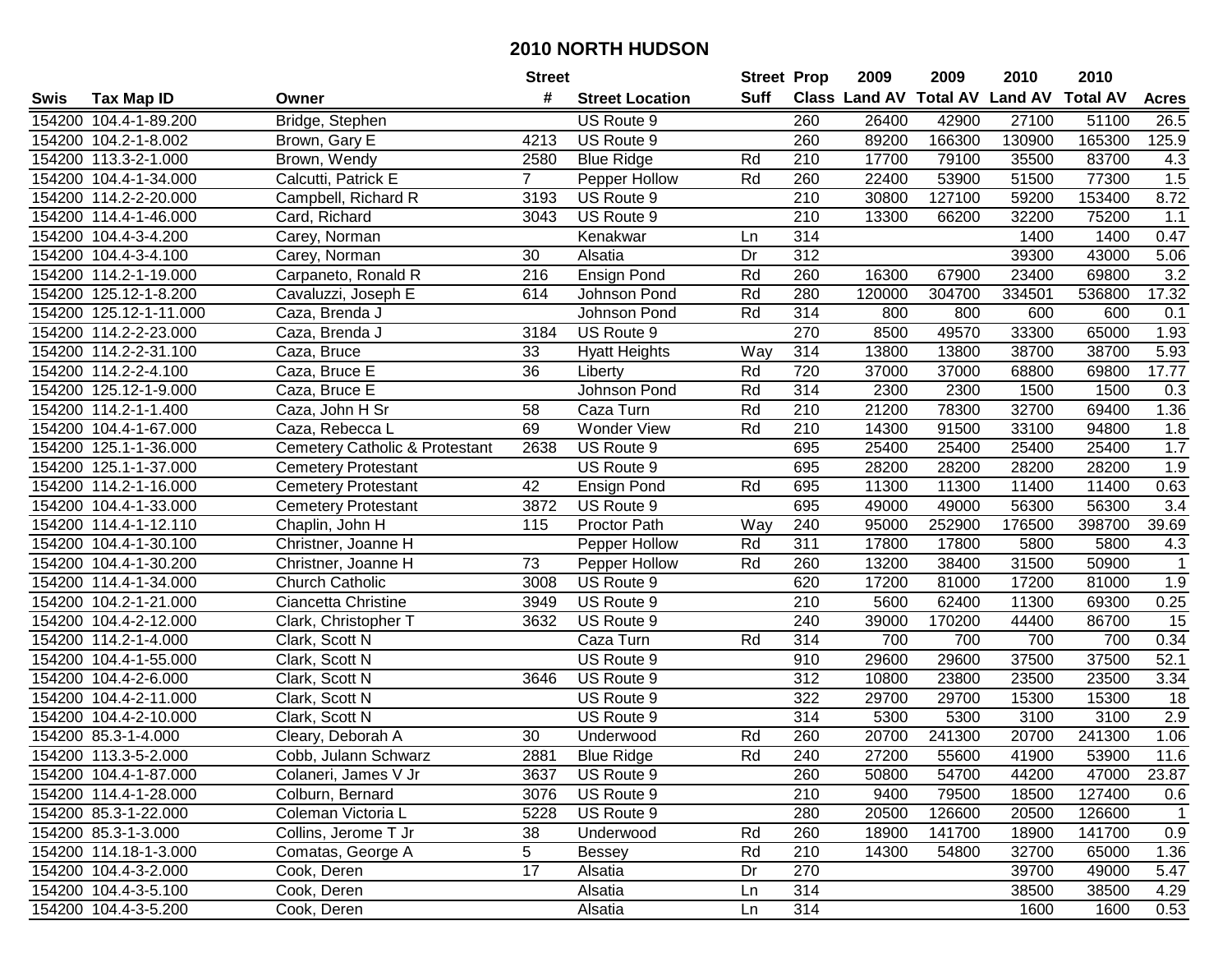|             |                        |                                           | <b>Street</b> |                        | <b>Street Prop</b> |                  | 2009                          | 2009   | 2010           | 2010            |                  |
|-------------|------------------------|-------------------------------------------|---------------|------------------------|--------------------|------------------|-------------------------------|--------|----------------|-----------------|------------------|
| <b>Swis</b> | Tax Map ID             | Owner                                     | #             | <b>Street Location</b> | Suff               |                  | <b>Class Land AV Total AV</b> |        | <b>Land AV</b> | <b>Total AV</b> | <b>Acres</b>     |
|             | 154200 104.4-1-89.200  | Bridge, Stephen                           |               | US Route 9             |                    | 260              | 26400                         | 42900  | 27100          | 51100           | 26.5             |
|             | 154200 104.2-1-8.002   | Brown, Gary E                             | 4213          | US Route 9             |                    | 260              | 89200                         | 166300 | 130900         | 165300          | 125.9            |
|             | 154200 113.3-2-1.000   | Brown, Wendy                              | 2580          | <b>Blue Ridge</b>      | Rd                 | 210              | 17700                         | 79100  | 35500          | 83700           | 4.3              |
|             | 154200 104.4-1-34.000  | Calcutti, Patrick E                       | $7^{\circ}$   | Pepper Hollow          | Rd                 | 260              | 22400                         | 53900  | 51500          | 77300           | 1.5              |
|             | 154200 114.2-2-20.000  | Campbell, Richard R                       | 3193          | US Route 9             |                    | 210              | 30800                         | 127100 | 59200          | 153400          | 8.72             |
|             | 154200 114.4-1-46.000  | Card, Richard                             | 3043          | US Route 9             |                    | $\overline{210}$ | 13300                         | 66200  | 32200          | 75200           | 1.1              |
|             | 154200 104.4-3-4.200   | Carey, Norman                             |               | Kenakwar               | Ln                 | 314              |                               |        | 1400           | 1400            | 0.47             |
|             | 154200 104.4-3-4.100   | Carey, Norman                             | 30            | Alsatia                | $\overline{Dr}$    | 312              |                               |        | 39300          | 43000           | 5.06             |
|             | 154200 114.2-1-19.000  | Carpaneto, Ronald R                       | 216           | <b>Ensign Pond</b>     | Rd                 | 260              | 16300                         | 67900  | 23400          | 69800           | 3.2              |
|             | 154200 125.12-1-8.200  | Cavaluzzi, Joseph E                       | 614           | Johnson Pond           | Rd                 | 280              | 120000                        | 304700 | 334501         | 536800          | 17.32            |
|             | 154200 125.12-1-11.000 | Caza, Brenda J                            |               | Johnson Pond           | Rd                 | 314              | 800                           | 800    | 600            | 600             | 0.1              |
|             | 154200 114.2-2-23.000  | Caza, Brenda J                            | 3184          | US Route 9             |                    | 270              | 8500                          | 49570  | 33300          | 65000           | 1.93             |
|             | 154200 114.2-2-31.100  | Caza, Bruce                               | 33            | <b>Hyatt Heights</b>   | Way                | 314              | 13800                         | 13800  | 38700          | 38700           | 5.93             |
|             | 154200 114.2-2-4.100   | Caza, Bruce E                             | 36            | Liberty                | Rd                 | 720              | 37000                         | 37000  | 68800          | 69800           | 17.77            |
|             | 154200 125.12-1-9.000  | Caza, Bruce E                             |               | Johnson Pond           | Rd                 | 314              | 2300                          | 2300   | 1500           | 1500            | 0.3              |
|             | 154200 114.2-1-1.400   | Caza, John H Sr                           | 58            | Caza Turn              | Rd                 | 210              | 21200                         | 78300  | 32700          | 69400           | 1.36             |
|             | 154200 104.4-1-67.000  | Caza, Rebecca L                           | 69            | <b>Wonder View</b>     | Rd                 | 210              | 14300                         | 91500  | 33100          | 94800           | 1.8              |
|             | 154200 125.1-1-36.000  | <b>Cemetery Catholic &amp; Protestant</b> | 2638          | US Route 9             |                    | 695              | 25400                         | 25400  | 25400          | 25400           | 1.7              |
|             | 154200 125.1-1-37.000  | <b>Cemetery Protestant</b>                |               | US Route 9             |                    | 695              | 28200                         | 28200  | 28200          | 28200           | 1.9              |
|             | 154200 114.2-1-16.000  | <b>Cemetery Protestant</b>                | 42            | <b>Ensign Pond</b>     | Rd                 | 695              | 11300                         | 11300  | 11400          | 11400           | 0.63             |
|             | 154200 104.4-1-33.000  | <b>Cemetery Protestant</b>                | 3872          | US Route 9             |                    | 695              | 49000                         | 49000  | 56300          | 56300           | $\overline{3.4}$ |
|             | 154200 114.4-1-12.110  | Chaplin, John H                           | 115           | Proctor Path           | Way                | 240              | 95000                         | 252900 | 176500         | 398700          | 39.69            |
|             | 154200 104.4-1-30.100  | Christner, Joanne H                       |               | Pepper Hollow          | Rd                 | 311              | 17800                         | 17800  | 5800           | 5800            | 4.3              |
|             | 154200 104.4-1-30.200  | Christner, Joanne H                       | 73            | Pepper Hollow          | Rd                 | 260              | 13200                         | 38400  | 31500          | 50900           | $\mathbf{1}$     |
|             | 154200 114.4-1-34.000  | Church Catholic                           | 3008          | US Route 9             |                    | 620              | 17200                         | 81000  | 17200          | 81000           | 1.9              |
|             | 154200 104.2-1-21.000  | Ciancetta Christine                       | 3949          | US Route 9             |                    | 210              | 5600                          | 62400  | 11300          | 69300           | 0.25             |
|             | 154200 104.4-2-12.000  | Clark, Christopher T                      | 3632          | US Route 9             |                    | 240              | 39000                         | 170200 | 44400          | 86700           | 15               |
|             | 154200 114.2-1-4.000   | Clark, Scott N                            |               | Caza Turn              | Rd                 | 314              | 700                           | 700    | 700            | 700             | 0.34             |
|             | 154200 104.4-1-55.000  | Clark, Scott N                            |               | US Route 9             |                    | 910              | 29600                         | 29600  | 37500          | 37500           | 52.1             |
|             | 154200 104.4-2-6.000   | Clark, Scott N                            | 3646          | US Route 9             |                    | $\overline{312}$ | 10800                         | 23800  | 23500          | 23500           | 3.34             |
|             | 154200 104.4-2-11.000  | Clark, Scott N                            |               | US Route 9             |                    | $\overline{322}$ | 29700                         | 29700  | 15300          | 15300           | $\overline{18}$  |
|             | 154200 104.4-2-10.000  | Clark, Scott N                            |               | US Route 9             |                    | 314              | 5300                          | 5300   | 3100           | 3100            | 2.9              |
|             | 154200 85.3-1-4.000    | Cleary, Deborah A                         | 30            | Underwood              | Rd                 | 260              | 20700                         | 241300 | 20700          | 241300          | 1.06             |
|             | 154200 113.3-5-2.000   | Cobb, Julann Schwarz                      | 2881          | <b>Blue Ridge</b>      | Rd                 | 240              | 27200                         | 55600  | 41900          | 53900           | 11.6             |
|             | 154200 104.4-1-87.000  | Colaneri, James V Jr                      | 3637          | US Route 9             |                    | 260              | 50800                         | 54700  | 44200          | 47000           | 23.87            |
|             | 154200 114.4-1-28.000  | Colburn, Bernard                          | 3076          | US Route 9             |                    | 210              | 9400                          | 79500  | 18500          | 127400          | 0.6              |
|             | 154200 85.3-1-22.000   | Coleman Victoria L                        | 5228          | US Route 9             |                    | 280              | 20500                         | 126600 | 20500          | 126600          | $\mathbf{1}$     |
|             | 154200 85.3-1-3.000    | Collins, Jerome T Jr                      | 38            | Underwood              | Rd                 | 260              | 18900                         | 141700 | 18900          | 141700          | 0.9              |
|             | 154200 114.18-1-3.000  | Comatas, George A                         | 5             | <b>Bessey</b>          | Rd                 | 210              | 14300                         | 54800  | 32700          | 65000           | 1.36             |
|             | 154200 104.4-3-2.000   | Cook, Deren                               | 17            | Alsatia                | Dr                 | 270              |                               |        | 39700          | 49000           | 5.47             |
|             | 154200 104.4-3-5.100   | Cook, Deren                               |               | Alsatia                | Ln                 | 314              |                               |        | 38500          | 38500           | 4.29             |
|             | 154200 104.4-3-5.200   | Cook, Deren                               |               | Alsatia                | Ln                 | 314              |                               |        | 1600           | 1600            | 0.53             |
|             |                        |                                           |               |                        |                    |                  |                               |        |                |                 |                  |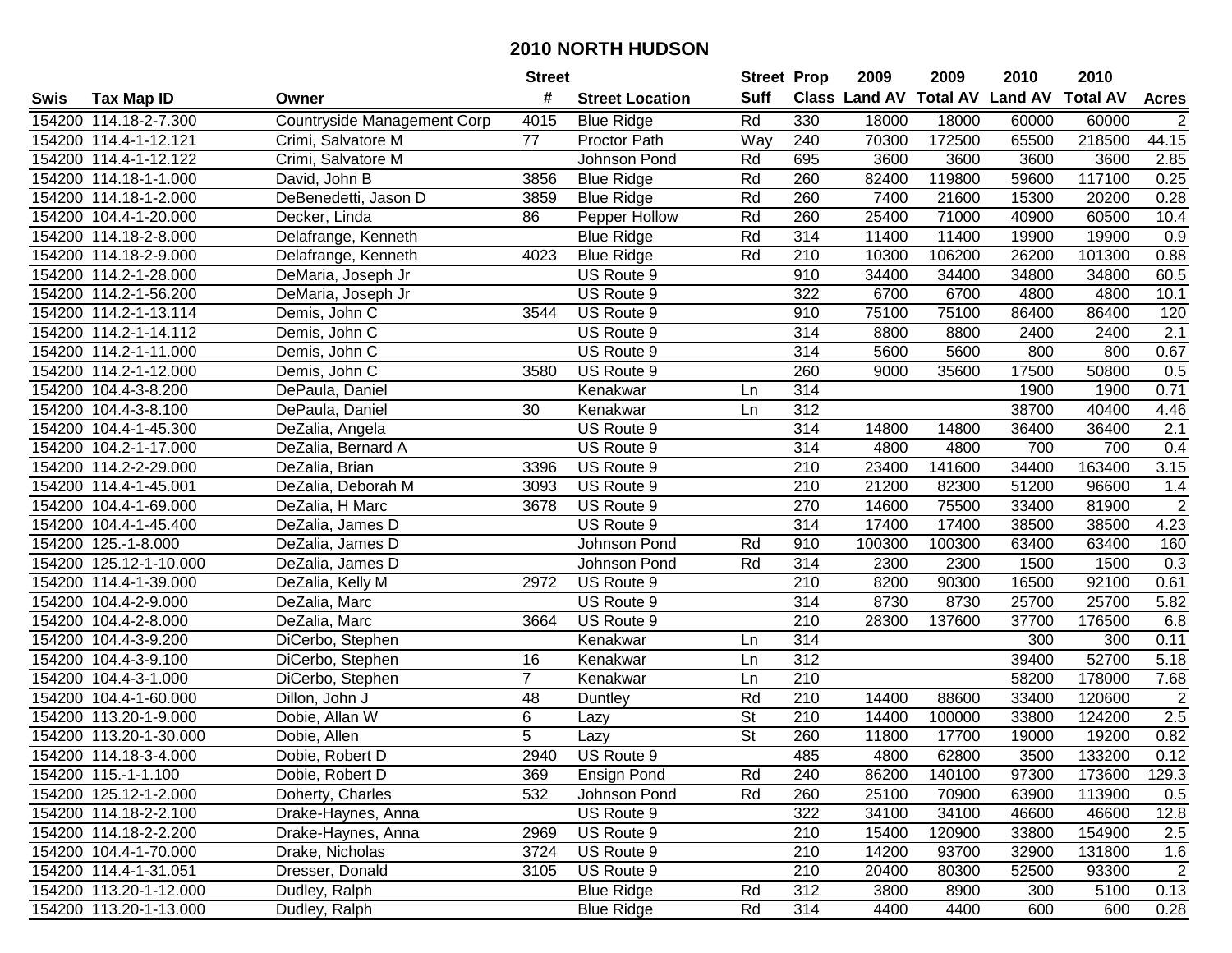|      |                        |                             | <b>Street</b>  |                        | <b>Street Prop</b>       |                  | 2009   | 2009   | 2010                           | 2010            |                  |
|------|------------------------|-----------------------------|----------------|------------------------|--------------------------|------------------|--------|--------|--------------------------------|-----------------|------------------|
| Swis | <b>Tax Map ID</b>      | Owner                       | #              | <b>Street Location</b> | <b>Suff</b>              |                  |        |        | Class Land AV Total AV Land AV | <b>Total AV</b> | <b>Acres</b>     |
|      | 154200 114.18-2-7.300  | Countryside Management Corp | 4015           | <b>Blue Ridge</b>      | Rd                       | 330              | 18000  | 18000  | 60000                          | 60000           | 2                |
|      | 154200 114.4-1-12.121  | Crimi, Salvatore M          | 77             | Proctor Path           | Way                      | 240              | 70300  | 172500 | 65500                          | 218500          | 44.15            |
|      | 154200 114.4-1-12.122  | Crimi, Salvatore M          |                | Johnson Pond           | Rd                       | 695              | 3600   | 3600   | 3600                           | 3600            | 2.85             |
|      | 154200 114.18-1-1.000  | David, John B               | 3856           | <b>Blue Ridge</b>      | Rd                       | 260              | 82400  | 119800 | 59600                          | 117100          | 0.25             |
|      | 154200 114.18-1-2.000  | DeBenedetti, Jason D        | 3859           | <b>Blue Ridge</b>      | Rd                       | 260              | 7400   | 21600  | 15300                          | 20200           | 0.28             |
|      | 154200 104.4-1-20.000  | Decker, Linda               | 86             | Pepper Hollow          | Rd                       | 260              | 25400  | 71000  | 40900                          | 60500           | 10.4             |
|      | 154200 114.18-2-8.000  | Delafrange, Kenneth         |                | <b>Blue Ridge</b>      | Rd                       | 314              | 11400  | 11400  | 19900                          | 19900           | 0.9              |
|      | 154200 114.18-2-9.000  | Delafrange, Kenneth         | 4023           | <b>Blue Ridge</b>      | Rd                       | $\overline{210}$ | 10300  | 106200 | 26200                          | 101300          | 0.88             |
|      | 154200 114.2-1-28.000  | DeMaria, Joseph Jr          |                | US Route 9             |                          | 910              | 34400  | 34400  | 34800                          | 34800           | 60.5             |
|      | 154200 114.2-1-56.200  | DeMaria, Joseph Jr          |                | US Route 9             |                          | 322              | 6700   | 6700   | 4800                           | 4800            | 10.1             |
|      | 154200 114.2-1-13.114  | Demis, John C               | 3544           | US Route 9             |                          | 910              | 75100  | 75100  | 86400                          | 86400           | 120              |
|      | 154200 114.2-1-14.112  | Demis, John C               |                | US Route 9             |                          | 314              | 8800   | 8800   | 2400                           | 2400            | 2.1              |
|      | 154200 114.2-1-11.000  | Demis, John C               |                | US Route 9             |                          | $\overline{314}$ | 5600   | 5600   | 800                            | 800             | 0.67             |
|      | 154200 114.2-1-12.000  | Demis, John C               | 3580           | US Route 9             |                          | 260              | 9000   | 35600  | 17500                          | 50800           | 0.5              |
|      | 154200 104.4-3-8.200   | DePaula, Daniel             |                | Kenakwar               | Ln                       | 314              |        |        | 1900                           | 1900            | 0.71             |
|      | 154200 104.4-3-8.100   | DePaula, Daniel             | 30             | Kenakwar               | Ln                       | 312              |        |        | 38700                          | 40400           | 4.46             |
|      | 154200 104.4-1-45.300  | DeZalia, Angela             |                | US Route 9             |                          | 314              | 14800  | 14800  | 36400                          | 36400           | $\overline{2.1}$ |
|      | 154200 104.2-1-17.000  | DeZalia, Bernard A          |                | US Route 9             |                          | 314              | 4800   | 4800   | 700                            | 700             | 0.4              |
|      | 154200 114.2-2-29.000  | DeZalia, Brian              | 3396           | US Route 9             |                          | 210              | 23400  | 141600 | 34400                          | 163400          | 3.15             |
|      | 154200 114.4-1-45.001  | DeZalia, Deborah M          | 3093           | US Route 9             |                          | 210              | 21200  | 82300  | 51200                          | 96600           | 1.4              |
|      | 154200 104.4-1-69.000  | DeZalia, H Marc             | 3678           | US Route 9             |                          | 270              | 14600  | 75500  | 33400                          | 81900           | $\overline{2}$   |
|      | 154200 104.4-1-45.400  | DeZalia, James D            |                | US Route 9             |                          | 314              | 17400  | 17400  | 38500                          | 38500           | 4.23             |
|      | 154200 125.-1-8.000    | DeZalia, James D            |                | Johnson Pond           | Rd                       | 910              | 100300 | 100300 | 63400                          | 63400           | 160              |
|      | 154200 125.12-1-10.000 | DeZalia, James D            |                | Johnson Pond           | Rd                       | 314              | 2300   | 2300   | 1500                           | 1500            | 0.3              |
|      | 154200 114.4-1-39.000  | DeZalia, Kelly M            | 2972           | US Route 9             |                          | 210              | 8200   | 90300  | 16500                          | 92100           | 0.61             |
|      | 154200 104.4-2-9.000   | DeZalia, Marc               |                | US Route 9             |                          | 314              | 8730   | 8730   | 25700                          | 25700           | 5.82             |
|      | 154200 104.4-2-8.000   | DeZalia, Marc               | 3664           | US Route 9             |                          | 210              | 28300  | 137600 | 37700                          | 176500          | 6.8              |
|      | 154200 104.4-3-9.200   | DiCerbo, Stephen            |                | Kenakwar               | Ln                       | 314              |        |        | 300                            | 300             | 0.11             |
|      | 154200 104.4-3-9.100   | DiCerbo, Stephen            | 16             | Kenakwar               | Ln                       | $\overline{312}$ |        |        | 39400                          | 52700           | 5.18             |
|      | 154200 104.4-3-1.000   | DiCerbo, Stephen            | $\overline{7}$ | Kenakwar               | Ln                       | $\overline{210}$ |        |        | 58200                          | 178000          | 7.68             |
|      | 154200 104.4-1-60.000  | Dillon, John J              | 48             | Duntley                | Rd                       | $\overline{210}$ | 14400  | 88600  | 33400                          | 120600          | $\overline{2}$   |
|      | 154200 113.20-1-9.000  | Dobie, Allan W              | 6              | Lazy                   | $\overline{\mathsf{St}}$ | 210              | 14400  | 100000 | 33800                          | 124200          | 2.5              |
|      | 154200 113.20-1-30.000 | Dobie, Allen                | $\overline{5}$ | Lazy                   | $\overline{\mathsf{St}}$ | 260              | 11800  | 17700  | 19000                          | 19200           | 0.82             |
|      | 154200 114.18-3-4.000  | Dobie, Robert D             | 2940           | US Route 9             |                          | 485              | 4800   | 62800  | 3500                           | 133200          | 0.12             |
|      | 154200 115.-1-1.100    | Dobie, Robert D             | 369            | <b>Ensign Pond</b>     | Rd                       | 240              | 86200  | 140100 | 97300                          | 173600          | 129.3            |
|      | 154200 125.12-1-2.000  | Doherty, Charles            | 532            | Johnson Pond           | Rd                       | 260              | 25100  | 70900  | 63900                          | 113900          | 0.5              |
|      | 154200 114.18-2-2.100  | Drake-Haynes, Anna          |                | US Route 9             |                          | 322              | 34100  | 34100  | 46600                          | 46600           | 12.8             |
|      | 154200 114.18-2-2.200  | Drake-Haynes, Anna          | 2969           | US Route 9             |                          | 210              | 15400  | 120900 | 33800                          | 154900          | 2.5              |
|      | 154200 104.4-1-70.000  | Drake, Nicholas             | 3724           | US Route 9             |                          | 210              | 14200  | 93700  | 32900                          | 131800          | 1.6              |
|      | 154200 114.4-1-31.051  | Dresser, Donald             | 3105           | US Route 9             |                          | 210              | 20400  | 80300  | 52500                          | 93300           | $\overline{c}$   |
|      | 154200 113.20-1-12.000 | Dudley, Ralph               |                | <b>Blue Ridge</b>      | Rd                       | 312              | 3800   | 8900   | 300                            | 5100            | 0.13             |
|      | 154200 113.20-1-13.000 | Dudley, Ralph               |                | <b>Blue Ridge</b>      | Rd                       | 314              | 4400   | 4400   | 600                            | 600             | 0.28             |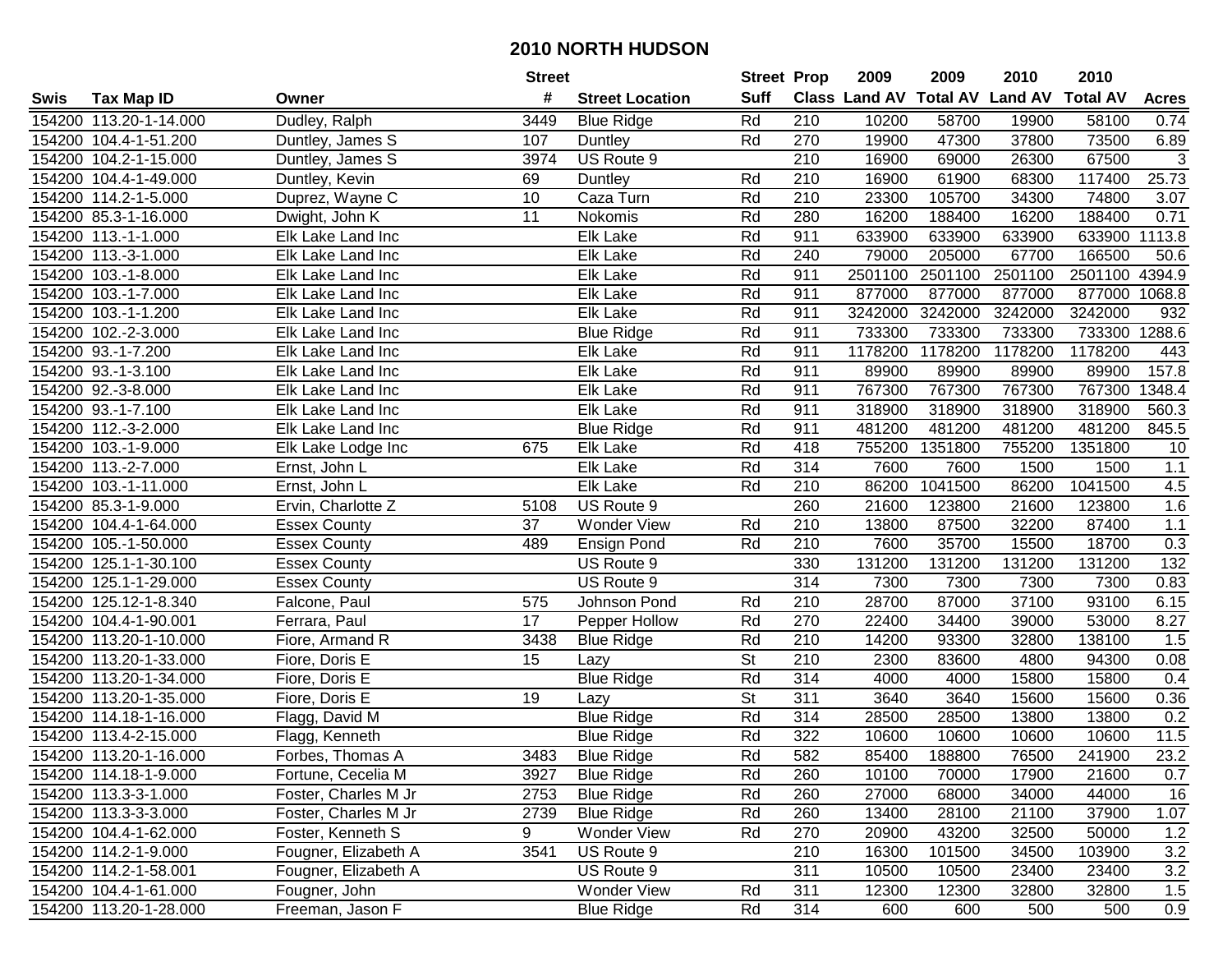|      |                        |                      | <b>Street</b>   |                        | <b>Street Prop</b>       |                  | 2009                          | 2009    | 2010           | 2010            |              |
|------|------------------------|----------------------|-----------------|------------------------|--------------------------|------------------|-------------------------------|---------|----------------|-----------------|--------------|
| Swis | Tax Map ID             | Owner                | #               | <b>Street Location</b> | <b>Suff</b>              |                  | <b>Class Land AV Total AV</b> |         | <b>Land AV</b> | <b>Total AV</b> | <b>Acres</b> |
|      | 154200 113.20-1-14.000 | Dudley, Ralph        | 3449            | <b>Blue Ridge</b>      | Rd                       | 210              | 10200                         | 58700   | 19900          | 58100           | 0.74         |
|      | 154200 104.4-1-51.200  | Duntley, James S     | 107             | Duntley                | Rd                       | 270              | 19900                         | 47300   | 37800          | 73500           | 6.89         |
|      | 154200 104.2-1-15.000  | Duntley, James S     | 3974            | US Route 9             |                          | 210              | 16900                         | 69000   | 26300          | 67500           | 3            |
|      | 154200 104.4-1-49.000  | Duntley, Kevin       | 69              | Duntley                | Rd                       | 210              | 16900                         | 61900   | 68300          | 117400          | 25.73        |
|      | 154200 114.2-1-5.000   | Duprez, Wayne C      | 10              | Caza Turn              | Rd                       | 210              | 23300                         | 105700  | 34300          | 74800           | 3.07         |
|      | 154200 85.3-1-16.000   | Dwight, John K       | $\overline{11}$ | <b>Nokomis</b>         | Rd                       | 280              | 16200                         | 188400  | 16200          | 188400          | 0.71         |
|      | 154200 113.-1-1.000    | Elk Lake Land Inc    |                 | Elk Lake               | Rd                       | 911              | 633900                        | 633900  | 633900         | 633900          | 1113.8       |
|      | 154200 113.-3-1.000    | Elk Lake Land Inc    |                 | Elk Lake               | Rd                       | $\overline{240}$ | 79000                         | 205000  | 67700          | 166500          | 50.6         |
|      | 154200 103.-1-8.000    | Elk Lake Land Inc    |                 | Elk Lake               | Rd                       | 911              | 2501100                       | 2501100 | 2501100        | 2501100         | 4394.9       |
|      | 154200 103.-1-7.000    | Elk Lake Land Inc    |                 | Elk Lake               | Rd                       | 911              | 877000                        | 877000  | 877000         | 877000          | 1068.8       |
|      | 154200 103.-1-1.200    | Elk Lake Land Inc    |                 | Elk Lake               | Rd                       | 911              | 3242000                       | 3242000 | 3242000        | 3242000         | 932          |
|      | 154200 102.-2-3.000    | Elk Lake Land Inc    |                 | <b>Blue Ridge</b>      | Rd                       | 911              | 733300                        | 733300  | 733300         | 733300          | 1288.6       |
|      | 154200 93.-1-7.200     | Elk Lake Land Inc    |                 | Elk Lake               | Rd                       | 911              | 1178200                       | 1178200 | 1178200        | 1178200         | 443          |
|      | 154200 93.-1-3.100     | Elk Lake Land Inc    |                 | Elk Lake               | Rd                       | 911              | 89900                         | 89900   | 89900          | 89900           | 157.8        |
|      | 154200 92.-3-8.000     | Elk Lake Land Inc    |                 | Elk Lake               | Rd                       | 911              | 767300                        | 767300  | 767300         | 767300          | 1348.4       |
|      | 154200 93.-1-7.100     | Elk Lake Land Inc    |                 | Elk Lake               | Rd                       | 911              | 318900                        | 318900  | 318900         | 318900          | 560.3        |
|      | 154200 112.-3-2.000    | Elk Lake Land Inc    |                 | <b>Blue Ridge</b>      | Rd                       | 911              | 481200                        | 481200  | 481200         | 481200          | 845.5        |
|      | 154200 103.-1-9.000    | Elk Lake Lodge Inc   | 675             | Elk Lake               | Rd                       | 418              | 755200                        | 1351800 | 755200         | 1351800         | 10           |
|      | 154200 113.-2-7.000    | Ernst, John L        |                 | Elk Lake               | Rd                       | 314              | 7600                          | 7600    | 1500           | 1500            | 1.1          |
|      | 154200 103.-1-11.000   | Ernst, John L        |                 | Elk Lake               | Rd                       | 210              | 86200                         | 1041500 | 86200          | 1041500         | 4.5          |
|      | 154200 85.3-1-9.000    | Ervin, Charlotte Z   | 5108            | US Route 9             |                          | 260              | 21600                         | 123800  | 21600          | 123800          | 1.6          |
|      | 154200 104.4-1-64.000  | <b>Essex County</b>  | 37              | <b>Wonder View</b>     | Rd                       | 210              | 13800                         | 87500   | 32200          | 87400           | $1.1$        |
|      | 154200 105.-1-50.000   | <b>Essex County</b>  | 489             | <b>Ensign Pond</b>     | Rd                       | 210              | 7600                          | 35700   | 15500          | 18700           | 0.3          |
|      | 154200 125.1-1-30.100  | <b>Essex County</b>  |                 | US Route 9             |                          | 330              | 131200                        | 131200  | 131200         | 131200          | 132          |
|      | 154200 125.1-1-29.000  | <b>Essex County</b>  |                 | US Route 9             |                          | 314              | 7300                          | 7300    | 7300           | 7300            | 0.83         |
|      | 154200 125.12-1-8.340  | Falcone, Paul        | 575             | Johnson Pond           | Rd                       | 210              | 28700                         | 87000   | 37100          | 93100           | 6.15         |
|      | 154200 104.4-1-90.001  | Ferrara, Paul        | 17              | Pepper Hollow          | Rd                       | 270              | 22400                         | 34400   | 39000          | 53000           | 8.27         |
|      | 154200 113.20-1-10.000 | Fiore, Armand R      | 3438            | <b>Blue Ridge</b>      | Rd                       | 210              | 14200                         | 93300   | 32800          | 138100          | 1.5          |
|      | 154200 113.20-1-33.000 | Fiore, Doris E       | 15              | Lazy                   | $\overline{\mathsf{St}}$ | $\overline{210}$ | 2300                          | 83600   | 4800           | 94300           | 0.08         |
|      | 154200 113.20-1-34.000 | Fiore, Doris E       |                 | <b>Blue Ridge</b>      | Rd                       | 314              | 4000                          | 4000    | 15800          | 15800           | 0.4          |
|      | 154200 113.20-1-35.000 | Fiore, Doris E       | 19              | Lazy                   | $\overline{\mathsf{St}}$ | $\overline{311}$ | 3640                          | 3640    | 15600          | 15600           | 0.36         |
|      | 154200 114.18-1-16.000 | Flagg, David M       |                 | <b>Blue Ridge</b>      | Rd                       | 314              | 28500                         | 28500   | 13800          | 13800           | 0.2          |
|      | 154200 113.4-2-15.000  | Flagg, Kenneth       |                 | <b>Blue Ridge</b>      | Rd                       | 322              | 10600                         | 10600   | 10600          | 10600           | 11.5         |
|      | 154200 113.20-1-16.000 | Forbes, Thomas A     | 3483            | <b>Blue Ridge</b>      | Rd                       | 582              | 85400                         | 188800  | 76500          | 241900          | 23.2         |
|      | 154200 114.18-1-9.000  | Fortune, Cecelia M   | 3927            | <b>Blue Ridge</b>      | Rd                       | 260              | 10100                         | 70000   | 17900          | 21600           | 0.7          |
|      | 154200 113.3-3-1.000   | Foster, Charles M Jr | 2753            | <b>Blue Ridge</b>      | Rd                       | 260              | 27000                         | 68000   | 34000          | 44000           | 16           |
|      | 154200 113.3-3-3.000   | Foster, Charles M Jr | 2739            | <b>Blue Ridge</b>      | Rd                       | 260              | 13400                         | 28100   | 21100          | 37900           | 1.07         |
|      | 154200 104.4-1-62.000  | Foster, Kenneth S    | 9               | Wonder View            | Rd                       | 270              | 20900                         | 43200   | 32500          | 50000           | 1.2          |
|      | 154200 114.2-1-9.000   | Fougner, Elizabeth A | 3541            | US Route 9             |                          | 210              | 16300                         | 101500  | 34500          | 103900          | 3.2          |
|      | 154200 114.2-1-58.001  | Fougner, Elizabeth A |                 | US Route 9             |                          | 311              | 10500                         | 10500   | 23400          | 23400           | 3.2          |
|      | 154200 104.4-1-61.000  | Fougner, John        |                 | Wonder View            | Rd                       | 311              | 12300                         | 12300   | 32800          | 32800           | 1.5          |
|      | 154200 113.20-1-28.000 | Freeman, Jason F     |                 | <b>Blue Ridge</b>      | Rd                       | 314              | 600                           | 600     | 500            | 500             | 0.9          |
|      |                        |                      |                 |                        |                          |                  |                               |         |                |                 |              |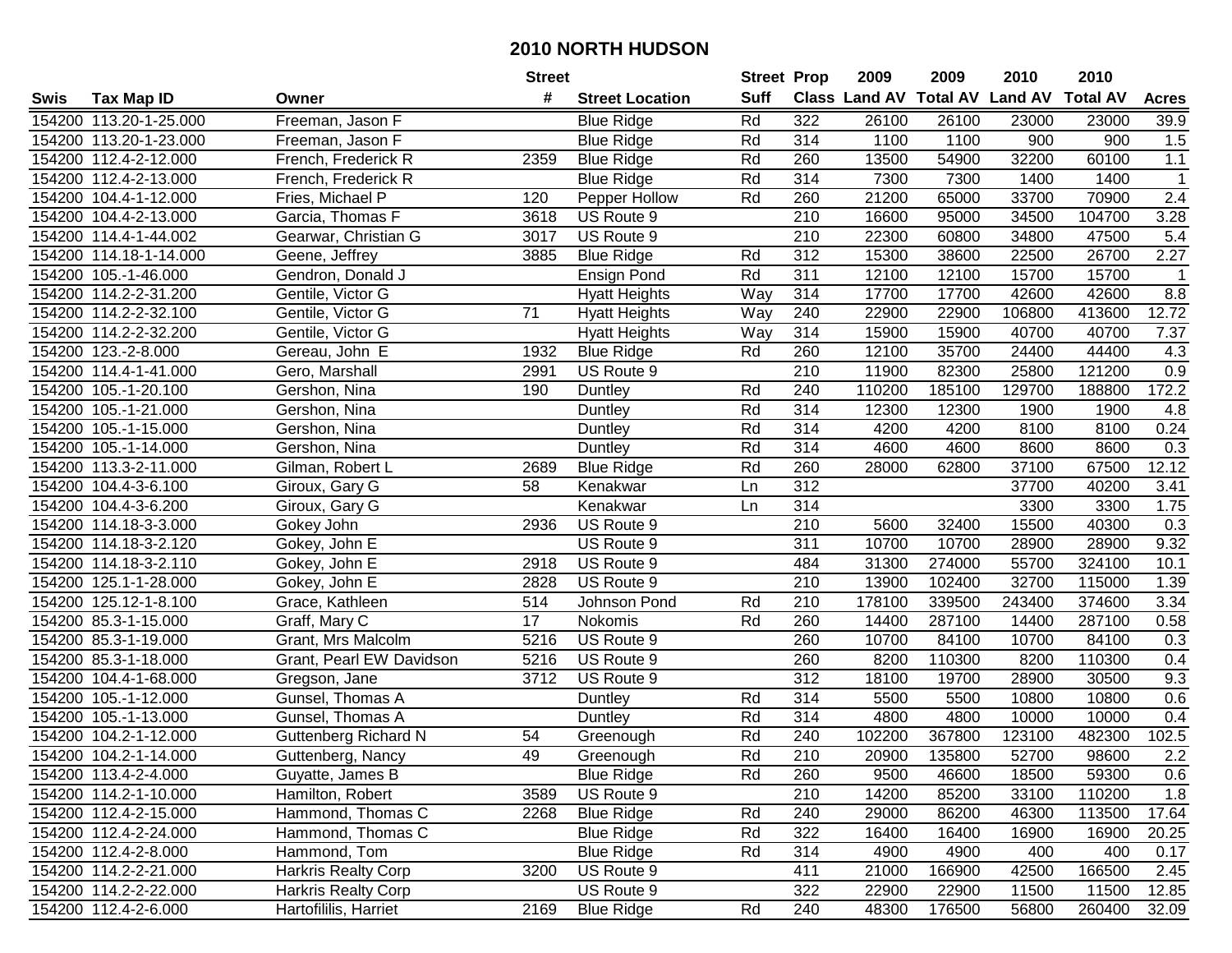|      |                        |                             | <b>Street</b>   |                        | <b>Street Prop</b> |                  | 2009                          | 2009   | 2010           | 2010            |              |
|------|------------------------|-----------------------------|-----------------|------------------------|--------------------|------------------|-------------------------------|--------|----------------|-----------------|--------------|
| Swis | <b>Tax Map ID</b>      | Owner                       | #               | <b>Street Location</b> | <b>Suff</b>        |                  | <b>Class Land AV Total AV</b> |        | <b>Land AV</b> | <b>Total AV</b> | <b>Acres</b> |
|      | 154200 113.20-1-25.000 | Freeman, Jason F            |                 | <b>Blue Ridge</b>      | Rd                 | 322              | 26100                         | 26100  | 23000          | 23000           | 39.9         |
|      | 154200 113.20-1-23.000 | Freeman, Jason F            |                 | <b>Blue Ridge</b>      | Rd                 | 314              | 1100                          | 1100   | 900            | 900             | 1.5          |
|      | 154200 112.4-2-12.000  | French, Frederick R         | 2359            | <b>Blue Ridge</b>      | Rd                 | 260              | 13500                         | 54900  | 32200          | 60100           | $1.1$        |
|      | 154200 112.4-2-13.000  | French, Frederick R         |                 | <b>Blue Ridge</b>      | Rd                 | 314              | 7300                          | 7300   | 1400           | 1400            | $\mathbf{1}$ |
|      | 154200 104.4-1-12.000  | Fries, Michael P            | 120             | Pepper Hollow          | Rd                 | 260              | 21200                         | 65000  | 33700          | 70900           | 2.4          |
|      | 154200 104.4-2-13.000  | Garcia, Thomas F            | 3618            | US Route 9             |                    | $\overline{210}$ | 16600                         | 95000  | 34500          | 104700          | 3.28         |
|      | 154200 114.4-1-44.002  | Gearwar, Christian G        | 3017            | US Route 9             |                    | 210              | 22300                         | 60800  | 34800          | 47500           | 5.4          |
|      | 154200 114.18-1-14.000 | Geene, Jeffrey              | 3885            | <b>Blue Ridge</b>      | Rd                 | 312              | 15300                         | 38600  | 22500          | 26700           | 2.27         |
|      | 154200 105.-1-46.000   | Gendron, Donald J           |                 | Ensign Pond            | Rd                 | 311              | 12100                         | 12100  | 15700          | 15700           | -1           |
|      | 154200 114.2-2-31.200  | Gentile, Victor G           |                 | <b>Hyatt Heights</b>   | Way                | 314              | 17700                         | 17700  | 42600          | 42600           | 8.8          |
|      | 154200 114.2-2-32.100  | Gentile, Victor G           | 71              | <b>Hyatt Heights</b>   | Way                | 240              | 22900                         | 22900  | 106800         | 413600          | 12.72        |
|      | 154200 114.2-2-32.200  | Gentile, Victor G           |                 | <b>Hyatt Heights</b>   | Way                | 314              | 15900                         | 15900  | 40700          | 40700           | 7.37         |
|      | 154200 123.-2-8.000    | Gereau, John E              | 1932            | <b>Blue Ridge</b>      | Rd                 | 260              | 12100                         | 35700  | 24400          | 44400           | 4.3          |
|      | 154200 114.4-1-41.000  | Gero, Marshall              | 2991            | US Route 9             |                    | 210              | 11900                         | 82300  | 25800          | 121200          | 0.9          |
|      | 154200 105.-1-20.100   | Gershon, Nina               | 190             | Duntley                | Rd                 | 240              | 110200                        | 185100 | 129700         | 188800          | 172.2        |
|      | 154200 105.-1-21.000   | Gershon, Nina               |                 | Duntley                | Rd                 | 314              | 12300                         | 12300  | 1900           | 1900            | 4.8          |
|      | 154200 105.-1-15.000   | Gershon, Nina               |                 | Duntley                | Rd                 | 314              | 4200                          | 4200   | 8100           | 8100            | 0.24         |
|      | 154200 105.-1-14.000   | Gershon, Nina               |                 | Duntley                | Rd                 | 314              | 4600                          | 4600   | 8600           | 8600            | 0.3          |
|      | 154200 113.3-2-11.000  | Gilman, Robert L            | 2689            | <b>Blue Ridge</b>      | Rd                 | 260              | 28000                         | 62800  | 37100          | 67500           | 12.12        |
|      | 154200 104.4-3-6.100   | Giroux, Gary G              | 58              | Kenakwar               | Ln                 | 312              |                               |        | 37700          | 40200           | 3.41         |
|      | 154200 104.4-3-6.200   | Giroux, Gary G              |                 | Kenakwar               | Ln                 | $\overline{314}$ |                               |        | 3300           | 3300            | 1.75         |
|      | 154200 114.18-3-3.000  | Gokey John                  | 2936            | US Route 9             |                    | 210              | 5600                          | 32400  | 15500          | 40300           | 0.3          |
|      | 154200 114.18-3-2.120  | Gokey, John E               |                 | US Route 9             |                    | 311              | 10700                         | 10700  | 28900          | 28900           | 9.32         |
|      | 154200 114.18-3-2.110  | Gokey, John E               | 2918            | US Route 9             |                    | 484              | 31300                         | 274000 | 55700          | 324100          | 10.1         |
|      | 154200 125.1-1-28.000  | Gokey, John E               | 2828            | US Route 9             |                    | 210              | 13900                         | 102400 | 32700          | 115000          | 1.39         |
|      | 154200 125.12-1-8.100  | Grace, Kathleen             | 514             | Johnson Pond           | Rd                 | 210              | 178100                        | 339500 | 243400         | 374600          | 3.34         |
|      | 154200 85.3-1-15.000   | Graff, Mary C               | 17              | Nokomis                | Rd                 | 260              | 14400                         | 287100 | 14400          | 287100          | 0.58         |
|      | 154200 85.3-1-19.000   | Grant, Mrs Malcolm          | 5216            | US Route 9             |                    | 260              | 10700                         | 84100  | 10700          | 84100           | 0.3          |
|      | 154200 85.3-1-18.000   | Grant, Pearl EW Davidson    | 5216            | US Route 9             |                    | 260              | 8200                          | 110300 | 8200           | 110300          | 0.4          |
|      | 154200 104.4-1-68.000  | Gregson, Jane               | 3712            | US Route 9             |                    | 312              | 18100                         | 19700  | 28900          | 30500           | 9.3          |
|      | 154200 105.-1-12.000   | Gunsel, Thomas A            |                 | Duntley                | Rd                 | $\overline{314}$ | 5500                          | 5500   | 10800          | 10800           | 0.6          |
|      | 154200 105.-1-13.000   | Gunsel, Thomas A            |                 | Duntley                | Rd                 | 314              | 4800                          | 4800   | 10000          | 10000           | 0.4          |
|      | 154200 104.2-1-12.000  | <b>Guttenberg Richard N</b> | $\overline{54}$ | Greenough              | Rd                 | 240              | 102200                        | 367800 | 123100         | 482300          | 102.5        |
|      | 154200 104.2-1-14.000  | Guttenberg, Nancy           | 49              | Greenough              | Rd                 | $\overline{210}$ | 20900                         | 135800 | 52700          | 98600           | 2.2          |
|      | 154200 113.4-2-4.000   | Guyatte, James B            |                 | <b>Blue Ridge</b>      | Rd                 | 260              | 9500                          | 46600  | 18500          | 59300           | 0.6          |
|      | 154200 114.2-1-10.000  | Hamilton, Robert            | 3589            | US Route 9             |                    | 210              | 14200                         | 85200  | 33100          | 110200          | 1.8          |
|      | 154200 112.4-2-15.000  | Hammond, Thomas C           | 2268            | <b>Blue Ridge</b>      | Rd                 | 240              | 29000                         | 86200  | 46300          | 113500          | 17.64        |
|      | 154200 112.4-2-24.000  | Hammond, Thomas C           |                 | <b>Blue Ridge</b>      | Rd                 | 322              | 16400                         | 16400  | 16900          | 16900           | 20.25        |
|      | 154200 112.4-2-8.000   | Hammond, Tom                |                 | <b>Blue Ridge</b>      | Rd                 | 314              | 4900                          | 4900   | 400            | 400             | 0.17         |
|      | 154200 114.2-2-21.000  | <b>Harkris Realty Corp</b>  | 3200            | US Route 9             |                    | 411              | 21000                         | 166900 | 42500          | 166500          | 2.45         |
|      | 154200 114.2-2-22.000  | <b>Harkris Realty Corp</b>  |                 | US Route 9             |                    | 322              | 22900                         | 22900  | 11500          | 11500           | 12.85        |
|      | 154200 112.4-2-6.000   | Hartofililis, Harriet       | 2169            | <b>Blue Ridge</b>      | Rd                 | 240              | 48300                         | 176500 | 56800          | 260400          | 32.09        |
|      |                        |                             |                 |                        |                    |                  |                               |        |                |                 |              |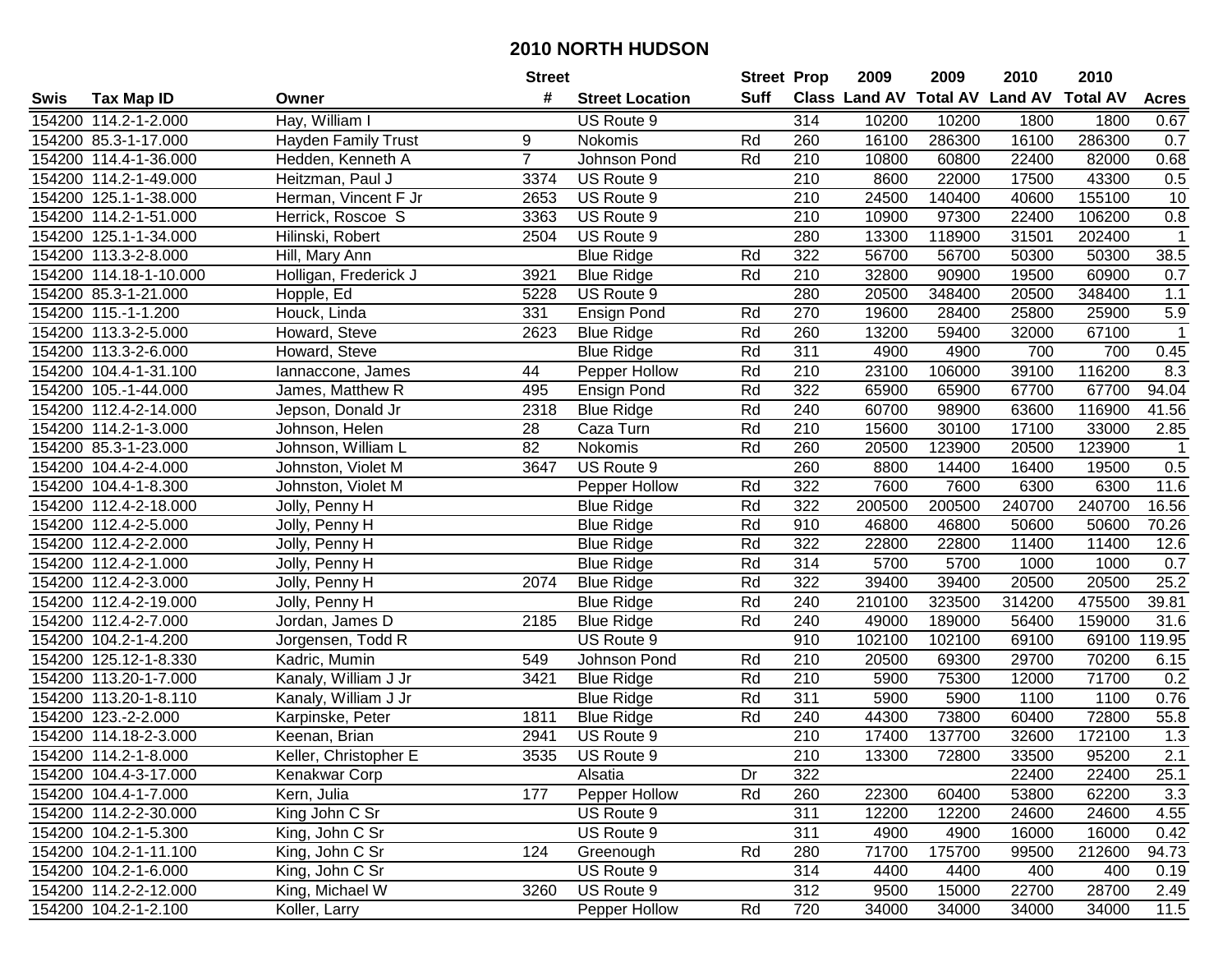|      |                        |                            | <b>Street</b>  |                        | <b>Street Prop</b> |                  | 2009   | 2009   | 2010                                    | 2010   |              |
|------|------------------------|----------------------------|----------------|------------------------|--------------------|------------------|--------|--------|-----------------------------------------|--------|--------------|
| Swis | <b>Tax Map ID</b>      | Owner                      | #              | <b>Street Location</b> | Suff               |                  |        |        | Class Land AV Total AV Land AV Total AV |        | <b>Acres</b> |
|      | 154200 114.2-1-2.000   | Hay, William I             |                | US Route 9             |                    | 314              | 10200  | 10200  | 1800                                    | 1800   | 0.67         |
|      | 154200 85.3-1-17.000   | <b>Hayden Family Trust</b> | 9              | Nokomis                | Rd                 | 260              | 16100  | 286300 | 16100                                   | 286300 | 0.7          |
|      | 154200 114.4-1-36.000  | Hedden, Kenneth A          | $\overline{7}$ | Johnson Pond           | Rd                 | 210              | 10800  | 60800  | 22400                                   | 82000  | 0.68         |
|      | 154200 114.2-1-49.000  | Heitzman, Paul J           | 3374           | US Route 9             |                    | 210              | 8600   | 22000  | 17500                                   | 43300  | $0.5\,$      |
|      | 154200 125.1-1-38.000  | Herman, Vincent F Jr       | 2653           | US Route 9             |                    | 210              | 24500  | 140400 | 40600                                   | 155100 | 10           |
|      | 154200 114.2-1-51.000  | Herrick, Roscoe S          | 3363           | US Route 9             |                    | 210              | 10900  | 97300  | 22400                                   | 106200 | 0.8          |
|      | 154200 125.1-1-34.000  | Hilinski, Robert           | 2504           | US Route 9             |                    | 280              | 13300  | 118900 | 31501                                   | 202400 | $\mathbf{1}$ |
|      | 154200 113.3-2-8.000   | Hill, Mary Ann             |                | <b>Blue Ridge</b>      | Rd                 | 322              | 56700  | 56700  | 50300                                   | 50300  | 38.5         |
|      | 154200 114.18-1-10.000 | Holligan, Frederick J      | 3921           | <b>Blue Ridge</b>      | Rd                 | $\overline{210}$ | 32800  | 90900  | 19500                                   | 60900  | 0.7          |
|      | 154200 85.3-1-21.000   | Hopple, Ed                 | 5228           | US Route 9             |                    | 280              | 20500  | 348400 | 20500                                   | 348400 | 1.1          |
|      | 154200 115.-1-1.200    | Houck, Linda               | 331            | <b>Ensign Pond</b>     | Rd                 | 270              | 19600  | 28400  | 25800                                   | 25900  | $5.9\,$      |
|      | 154200 113.3-2-5.000   | Howard, Steve              | 2623           | <b>Blue Ridge</b>      | Rd                 | 260              | 13200  | 59400  | 32000                                   | 67100  |              |
|      | 154200 113.3-2-6.000   | Howard, Steve              |                | <b>Blue Ridge</b>      | Rd                 | 311              | 4900   | 4900   | 700                                     | 700    | 0.45         |
|      | 154200 104.4-1-31.100  | lannaccone, James          | 44             | Pepper Hollow          | Rd                 | 210              | 23100  | 106000 | 39100                                   | 116200 | 8.3          |
|      | 154200 105.-1-44.000   | James, Matthew R           | 495            | Ensign Pond            | Rd                 | 322              | 65900  | 65900  | 67700                                   | 67700  | 94.04        |
|      | 154200 112.4-2-14.000  | Jepson, Donald Jr          | 2318           | <b>Blue Ridge</b>      | Rd                 | 240              | 60700  | 98900  | 63600                                   | 116900 | 41.56        |
|      | 154200 114.2-1-3.000   | Johnson, Helen             | 28             | Caza Turn              | Rd                 | 210              | 15600  | 30100  | 17100                                   | 33000  | 2.85         |
|      | 154200 85.3-1-23.000   | Johnson, William L         | 82             | Nokomis                | Rd                 | 260              | 20500  | 123900 | 20500                                   | 123900 | $\mathbf 1$  |
|      | 154200 104.4-2-4.000   | Johnston, Violet M         | 3647           | US Route 9             |                    | 260              | 8800   | 14400  | 16400                                   | 19500  | 0.5          |
|      | 154200 104.4-1-8.300   | Johnston, Violet M         |                | Pepper Hollow          | Rd                 | 322              | 7600   | 7600   | 6300                                    | 6300   | 11.6         |
|      | 154200 112.4-2-18.000  | Jolly, Penny H             |                | <b>Blue Ridge</b>      | Rd                 | 322              | 200500 | 200500 | 240700                                  | 240700 | 16.56        |
|      | 154200 112.4-2-5.000   | Jolly, Penny H             |                | <b>Blue Ridge</b>      | Rd                 | 910              | 46800  | 46800  | 50600                                   | 50600  | 70.26        |
|      | 154200 112.4-2-2.000   | Jolly, Penny H             |                | <b>Blue Ridge</b>      | Rd                 | 322              | 22800  | 22800  | 11400                                   | 11400  | 12.6         |
|      | 154200 112.4-2-1.000   | Jolly, Penny H             |                | <b>Blue Ridge</b>      | Rd                 | 314              | 5700   | 5700   | 1000                                    | 1000   | 0.7          |
|      | 154200 112.4-2-3.000   | Jolly, Penny H             | 2074           | <b>Blue Ridge</b>      | Rd                 | 322              | 39400  | 39400  | 20500                                   | 20500  | 25.2         |
|      | 154200 112.4-2-19.000  | Jolly, Penny H             |                | <b>Blue Ridge</b>      | Rd                 | 240              | 210100 | 323500 | 314200                                  | 475500 | 39.81        |
|      | 154200 112.4-2-7.000   | Jordan, James D            | 2185           | <b>Blue Ridge</b>      | Rd                 | 240              | 49000  | 189000 | 56400                                   | 159000 | 31.6         |
|      | 154200 104.2-1-4.200   | Jorgensen, Todd R          |                | US Route 9             |                    | 910              | 102100 | 102100 | 69100                                   | 69100  | 119.95       |
|      | 154200 125.12-1-8.330  | Kadric, Mumin              | 549            | Johnson Pond           | Rd                 | 210              | 20500  | 69300  | 29700                                   | 70200  | 6.15         |
|      | 154200 113.20-1-7.000  | Kanaly, William J Jr       | 3421           | <b>Blue Ridge</b>      | Rd                 | 210              | 5900   | 75300  | 12000                                   | 71700  | 0.2          |
|      | 154200 113.20-1-8.110  | Kanaly, William J Jr       |                | <b>Blue Ridge</b>      | Rd                 | 311              | 5900   | 5900   | 1100                                    | 1100   | 0.76         |
|      | 154200 123.-2-2.000    | Karpinske, Peter           | 1811           | <b>Blue Ridge</b>      | Rd                 | 240              | 44300  | 73800  | 60400                                   | 72800  | 55.8         |
|      | 154200 114.18-2-3.000  | Keenan, Brian              | 2941           | US Route 9             |                    | $\overline{210}$ | 17400  | 137700 | 32600                                   | 172100 | 1.3          |
|      | 154200 114.2-1-8.000   | Keller, Christopher E      | 3535           | US Route 9             |                    | 210              | 13300  | 72800  | 33500                                   | 95200  | 2.1          |
|      | 154200 104.4-3-17.000  | Kenakwar Corp              |                | Alsatia                | Dr                 | 322              |        |        | 22400                                   | 22400  | 25.1         |
|      | 154200 104.4-1-7.000   | Kern, Julia                | 177            | Pepper Hollow          | Rd                 | 260              | 22300  | 60400  | 53800                                   | 62200  | 3.3          |
|      | 154200 114.2-2-30.000  | King John C Sr             |                | US Route 9             |                    | 311              | 12200  | 12200  | 24600                                   | 24600  | 4.55         |
|      | 154200 104.2-1-5.300   | King, John C Sr            |                | US Route 9             |                    | 311              | 4900   | 4900   | 16000                                   | 16000  | 0.42         |
|      | 154200 104.2-1-11.100  | King, John C Sr            | 124            | Greenough              | Rd                 | 280              | 71700  | 175700 | 99500                                   | 212600 | 94.73        |
|      | 154200 104.2-1-6.000   | King, John C Sr            |                | US Route 9             |                    | 314              | 4400   | 4400   | 400                                     | 400    | 0.19         |
|      | 154200 114.2-2-12.000  | King, Michael W            | 3260           | US Route 9             |                    | 312              | 9500   | 15000  | 22700                                   | 28700  | 2.49         |
|      | 154200 104.2-1-2.100   | Koller, Larry              |                | Pepper Hollow          | Rd                 | 720              | 34000  | 34000  | 34000                                   | 34000  | 11.5         |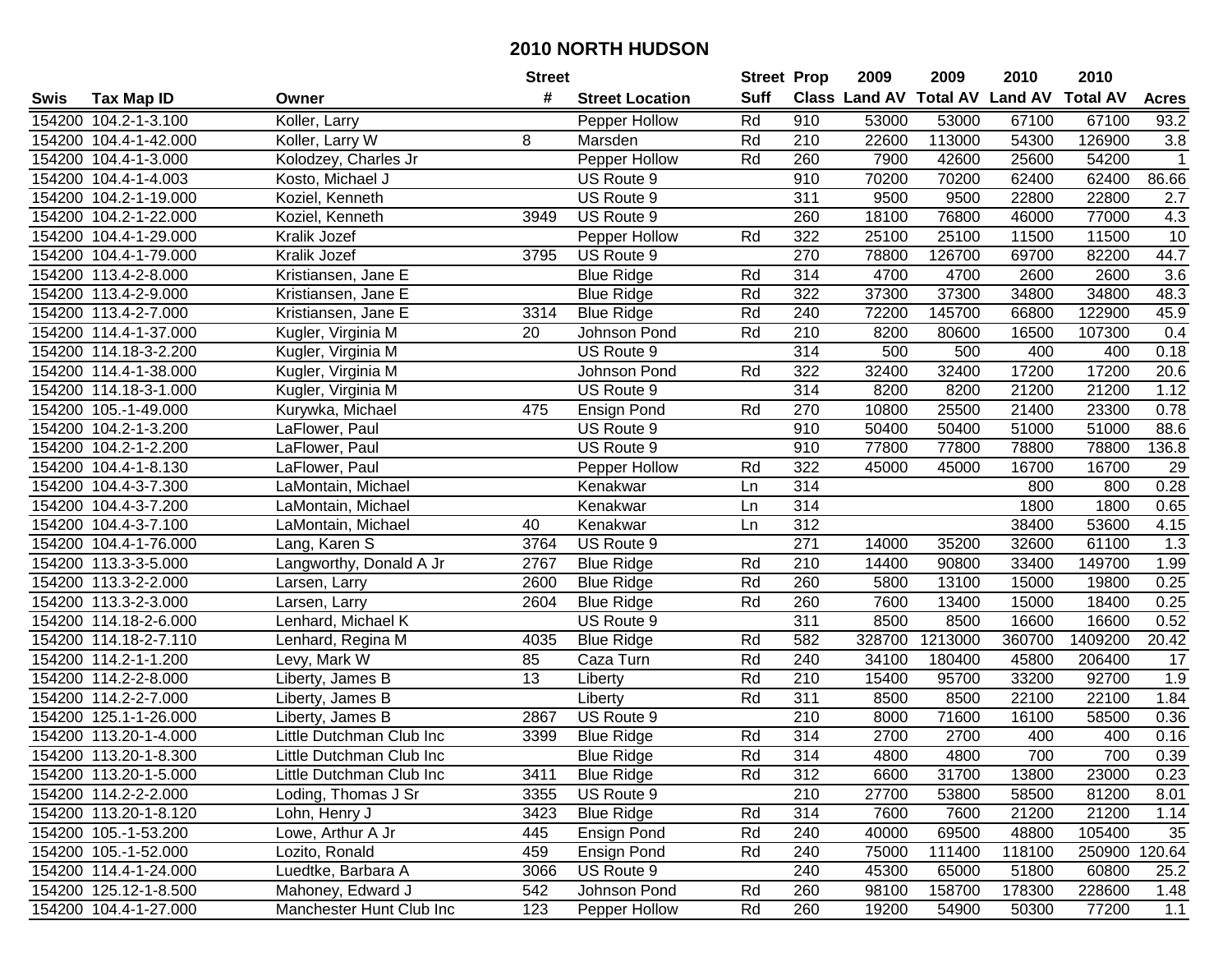|      |                       |                          | <b>Street</b> |                        | <b>Street Prop</b> |                  | 2009                          | 2009    | 2010           | 2010            |              |
|------|-----------------------|--------------------------|---------------|------------------------|--------------------|------------------|-------------------------------|---------|----------------|-----------------|--------------|
| Swis | <b>Tax Map ID</b>     | Owner                    | #             | <b>Street Location</b> | <b>Suff</b>        |                  | <b>Class Land AV Total AV</b> |         | <b>Land AV</b> | <b>Total AV</b> | <b>Acres</b> |
|      | 154200 104.2-1-3.100  | Koller, Larry            |               | Pepper Hollow          | Rd                 | 910              | 53000                         | 53000   | 67100          | 67100           | 93.2         |
|      | 154200 104.4-1-42.000 | Koller, Larry W          | 8             | Marsden                | Rd                 | 210              | 22600                         | 113000  | 54300          | 126900          | 3.8          |
|      | 154200 104.4-1-3.000  | Kolodzey, Charles Jr     |               | Pepper Hollow          | Rd                 | 260              | 7900                          | 42600   | 25600          | 54200           | $\mathbf{1}$ |
|      | 154200 104.4-1-4.003  | Kosto, Michael J         |               | US Route 9             |                    | 910              | 70200                         | 70200   | 62400          | 62400           | 86.66        |
|      | 154200 104.2-1-19.000 | Koziel, Kenneth          |               | US Route 9             |                    | 311              | 9500                          | 9500    | 22800          | 22800           | 2.7          |
|      | 154200 104.2-1-22.000 | Koziel, Kenneth          | 3949          | US Route 9             |                    | 260              | 18100                         | 76800   | 46000          | 77000           | 4.3          |
|      | 154200 104.4-1-29.000 | Kralik Jozef             |               | Pepper Hollow          | Rd                 | 322              | 25100                         | 25100   | 11500          | 11500           | 10           |
|      | 154200 104.4-1-79.000 | Kralik Jozef             | 3795          | US Route 9             |                    | 270              | 78800                         | 126700  | 69700          | 82200           | 44.7         |
|      | 154200 113.4-2-8.000  | Kristiansen, Jane E      |               | <b>Blue Ridge</b>      | Rd                 | 314              | 4700                          | 4700    | 2600           | 2600            | 3.6          |
|      | 154200 113.4-2-9.000  | Kristiansen, Jane E      |               | <b>Blue Ridge</b>      | Rd                 | 322              | 37300                         | 37300   | 34800          | 34800           | 48.3         |
|      | 154200 113.4-2-7.000  | Kristiansen, Jane E      | 3314          | <b>Blue Ridge</b>      | Rd                 | 240              | 72200                         | 145700  | 66800          | 122900          | 45.9         |
|      | 154200 114.4-1-37.000 | Kugler, Virginia M       | 20            | Johnson Pond           | Rd                 | 210              | 8200                          | 80600   | 16500          | 107300          | 0.4          |
|      | 154200 114.18-3-2.200 | Kugler, Virginia M       |               | US Route 9             |                    | 314              | 500                           | 500     | 400            | 400             | 0.18         |
|      | 154200 114.4-1-38.000 | Kugler, Virginia M       |               | Johnson Pond           | Rd                 | 322              | 32400                         | 32400   | 17200          | 17200           | 20.6         |
|      | 154200 114.18-3-1.000 | Kugler, Virginia M       |               | US Route 9             |                    | 314              | 8200                          | 8200    | 21200          | 21200           | 1.12         |
|      | 154200 105.-1-49.000  | Kurywka, Michael         | 475           | Ensign Pond            | Rd                 | 270              | 10800                         | 25500   | 21400          | 23300           | 0.78         |
|      | 154200 104.2-1-3.200  | LaFlower, Paul           |               | US Route 9             |                    | 910              | 50400                         | 50400   | 51000          | 51000           | 88.6         |
|      | 154200 104.2-1-2.200  | LaFlower, Paul           |               | US Route 9             |                    | 910              | 77800                         | 77800   | 78800          | 78800           | 136.8        |
|      | 154200 104.4-1-8.130  | LaFlower, Paul           |               | Pepper Hollow          | Rd                 | 322              | 45000                         | 45000   | 16700          | 16700           | 29           |
|      | 154200 104.4-3-7.300  | LaMontain, Michael       |               | Kenakwar               | Ln                 | 314              |                               |         | 800            | 800             | 0.28         |
|      | 154200 104.4-3-7.200  | LaMontain, Michael       |               | Kenakwar               | Ln                 | 314              |                               |         | 1800           | 1800            | 0.65         |
|      | 154200 104.4-3-7.100  | LaMontain, Michael       | 40            | Kenakwar               | Ln                 | 312              |                               |         | 38400          | 53600           | 4.15         |
|      | 154200 104.4-1-76.000 | Lang, Karen S            | 3764          | US Route 9             |                    | 271              | 14000                         | 35200   | 32600          | 61100           | 1.3          |
|      | 154200 113.3-3-5.000  | Langworthy, Donald A Jr  | 2767          | <b>Blue Ridge</b>      | Rd                 | 210              | 14400                         | 90800   | 33400          | 149700          | 1.99         |
|      | 154200 113.3-2-2.000  | Larsen, Larry            | 2600          | <b>Blue Ridge</b>      | Rd                 | 260              | 5800                          | 13100   | 15000          | 19800           | 0.25         |
|      | 154200 113.3-2-3.000  | Larsen, Larry            | 2604          | <b>Blue Ridge</b>      | Rd                 | 260              | 7600                          | 13400   | 15000          | 18400           | 0.25         |
|      | 154200 114.18-2-6.000 | Lenhard, Michael K       |               | US Route 9             |                    | $\overline{311}$ | 8500                          | 8500    | 16600          | 16600           | 0.52         |
|      | 154200 114.18-2-7.110 | Lenhard, Regina M        | 4035          | <b>Blue Ridge</b>      | Rd                 | 582              | 328700                        | 1213000 | 360700         | 1409200         | 20.42        |
|      | 154200 114.2-1-1.200  | Levy, Mark W             | 85            | Caza Turn              | Rd                 | 240              | 34100                         | 180400  | 45800          | 206400          | 17           |
|      | 154200 114.2-2-8.000  | Liberty, James B         | 13            | Liberty                | Rd                 | $\overline{210}$ | 15400                         | 95700   | 33200          | 92700           | 1.9          |
|      | 154200 114.2-2-7.000  | Liberty, James B         |               | Liberty                | Rd                 | 311              | 8500                          | 8500    | 22100          | 22100           | 1.84         |
|      | 154200 125.1-1-26.000 | Liberty, James B         | 2867          | US Route 9             |                    | 210              | 8000                          | 71600   | 16100          | 58500           | 0.36         |
|      | 154200 113.20-1-4.000 | Little Dutchman Club Inc | 3399          | <b>Blue Ridge</b>      | Rd                 | 314              | 2700                          | 2700    | 400            | 400             | 0.16         |
|      | 154200 113.20-1-8.300 | Little Dutchman Club Inc |               | <b>Blue Ridge</b>      | Rd                 | 314              | 4800                          | 4800    | 700            | 700             | 0.39         |
|      | 154200 113.20-1-5.000 | Little Dutchman Club Inc | 3411          | <b>Blue Ridge</b>      | Rd                 | 312              | 6600                          | 31700   | 13800          | 23000           | 0.23         |
|      | 154200 114.2-2-2.000  | Loding, Thomas J Sr      | 3355          | US Route 9             |                    | 210              | 27700                         | 53800   | 58500          | 81200           | 8.01         |
|      | 154200 113.20-1-8.120 | Lohn, Henry J            | 3423          | <b>Blue Ridge</b>      | Rd                 | 314              | 7600                          | 7600    | 21200          | 21200           | 1.14         |
|      | 154200 105.-1-53.200  | Lowe, Arthur A Jr        | 445           | Ensign Pond            | Rd                 | 240              | 40000                         | 69500   | 48800          | 105400          | 35           |
|      | 154200 105.-1-52.000  | Lozito, Ronald           | 459           | <b>Ensign Pond</b>     | Rd                 | 240              | 75000                         | 111400  | 118100         | 250900          | 120.64       |
|      | 154200 114.4-1-24.000 | Luedtke, Barbara A       | 3066          | US Route 9             |                    | 240              | 45300                         | 65000   | 51800          | 60800           | 25.2         |
|      | 154200 125.12-1-8.500 | Mahoney, Edward J        | 542           | Johnson Pond           | Rd                 | 260              | 98100                         | 158700  | 178300         | 228600          | 1.48         |
|      | 154200 104.4-1-27.000 | Manchester Hunt Club Inc | 123           | Pepper Hollow          | Rd                 | 260              | 19200                         | 54900   | 50300          | 77200           | 1.1          |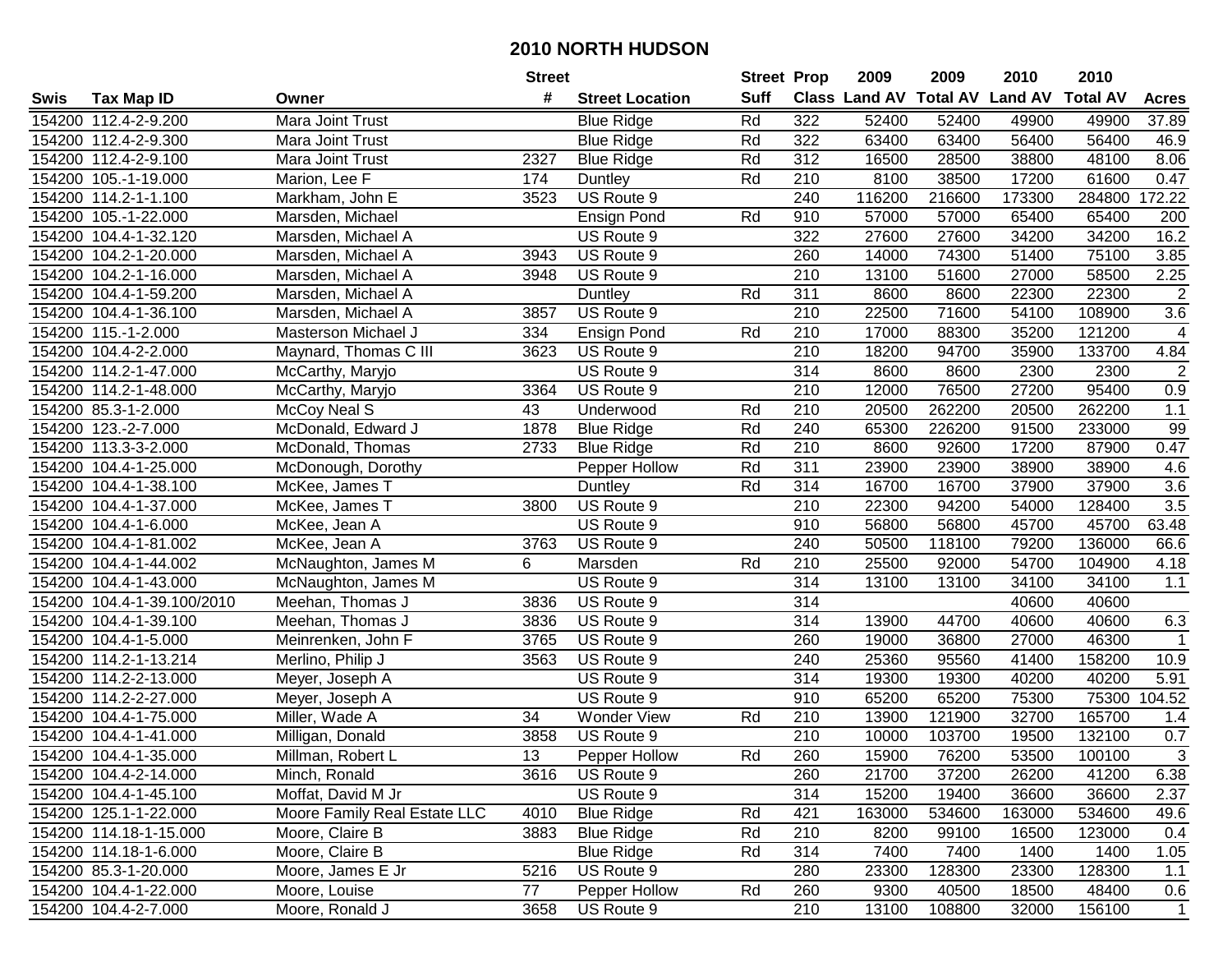|      |                            |                              | <b>Street</b> |                        | <b>Street Prop</b> |                  | 2009                          | 2009   | 2010           | 2010            |                |
|------|----------------------------|------------------------------|---------------|------------------------|--------------------|------------------|-------------------------------|--------|----------------|-----------------|----------------|
| Swis | Tax Map ID                 | Owner                        | #             | <b>Street Location</b> | <b>Suff</b>        |                  | <b>Class Land AV Total AV</b> |        | <b>Land AV</b> | <b>Total AV</b> | <b>Acres</b>   |
|      | 154200 112.4-2-9.200       | Mara Joint Trust             |               | <b>Blue Ridge</b>      | Rd                 | 322              | 52400                         | 52400  | 49900          | 49900           | 37.89          |
|      | 154200 112.4-2-9.300       | Mara Joint Trust             |               | <b>Blue Ridge</b>      | Rd                 | 322              | 63400                         | 63400  | 56400          | 56400           | 46.9           |
|      | 154200 112.4-2-9.100       | Mara Joint Trust             | 2327          | <b>Blue Ridge</b>      | Rd                 | 312              | 16500                         | 28500  | 38800          | 48100           | 8.06           |
|      | 154200 105.-1-19.000       | Marion, Lee F                | 174           | Duntley                | Rd                 | 210              | 8100                          | 38500  | 17200          | 61600           | 0.47           |
|      | 154200 114.2-1-1.100       | Markham, John E              | 3523          | US Route 9             |                    | 240              | 116200                        | 216600 | 173300         | 284800          | 172.22         |
|      | 154200 105.-1-22.000       | Marsden, Michael             |               | <b>Ensign Pond</b>     | Rd                 | 910              | 57000                         | 57000  | 65400          | 65400           | 200            |
|      | 154200 104.4-1-32.120      | Marsden, Michael A           |               | US Route 9             |                    | 322              | 27600                         | 27600  | 34200          | 34200           | 16.2           |
|      | 154200 104.2-1-20.000      | Marsden, Michael A           | 3943          | US Route 9             |                    | 260              | 14000                         | 74300  | 51400          | 75100           | 3.85           |
|      | 154200 104.2-1-16.000      | Marsden, Michael A           | 3948          | US Route 9             |                    | $\overline{210}$ | 13100                         | 51600  | 27000          | 58500           | 2.25           |
|      | 154200 104.4-1-59.200      | Marsden, Michael A           |               | Duntley                | Rd                 | 311              | 8600                          | 8600   | 22300          | 22300           | $\sqrt{2}$     |
|      | 154200 104.4-1-36.100      | Marsden, Michael A           | 3857          | US Route 9             |                    | 210              | 22500                         | 71600  | 54100          | 108900          | 3.6            |
|      | 154200 115.-1-2.000        | Masterson Michael J          | 334           | <b>Ensign Pond</b>     | Rd                 | 210              | 17000                         | 88300  | 35200          | 121200          | 4              |
|      | 154200 104.4-2-2.000       | Maynard, Thomas C III        | 3623          | US Route 9             |                    | 210              | 18200                         | 94700  | 35900          | 133700          | 4.84           |
|      | 154200 114.2-1-47.000      | McCarthy, Maryjo             |               | US Route 9             |                    | 314              | 8600                          | 8600   | 2300           | 2300            | $\overline{2}$ |
|      | 154200 114.2-1-48.000      | McCarthy, Maryjo             | 3364          | US Route 9             |                    | 210              | 12000                         | 76500  | 27200          | 95400           | 0.9            |
|      | 154200 85.3-1-2.000        | McCoy Neal S                 | 43            | Underwood              | Rd                 | 210              | 20500                         | 262200 | 20500          | 262200          | $1.1$          |
|      | 154200 123.-2-7.000        | McDonald, Edward J           | 1878          | <b>Blue Ridge</b>      | Rd                 | 240              | 65300                         | 226200 | 91500          | 233000          | 99             |
|      | 154200 113.3-3-2.000       | McDonald, Thomas             | 2733          | <b>Blue Ridge</b>      | Rd                 | 210              | 8600                          | 92600  | 17200          | 87900           | 0.47           |
|      | 154200 104.4-1-25.000      | McDonough, Dorothy           |               | Pepper Hollow          | Rd                 | 311              | 23900                         | 23900  | 38900          | 38900           | 4.6            |
|      | 154200 104.4-1-38.100      | McKee, James T               |               | Duntley                | Rd                 | 314              | 16700                         | 16700  | 37900          | 37900           | $3.6\,$        |
|      | 154200 104.4-1-37.000      | McKee, James T               | 3800          | US Route 9             |                    | 210              | 22300                         | 94200  | 54000          | 128400          | 3.5            |
|      | 154200 104.4-1-6.000       | McKee, Jean A                |               | US Route 9             |                    | 910              | 56800                         | 56800  | 45700          | 45700           | 63.48          |
|      | 154200 104.4-1-81.002      | McKee, Jean A                | 3763          | US Route 9             |                    | 240              | 50500                         | 118100 | 79200          | 136000          | 66.6           |
|      | 154200 104.4-1-44.002      | McNaughton, James M          | 6             | Marsden                | Rd                 | 210              | 25500                         | 92000  | 54700          | 104900          | 4.18           |
|      | 154200 104.4-1-43.000      | McNaughton, James M          |               | US Route 9             |                    | 314              | 13100                         | 13100  | 34100          | 34100           | 1.1            |
|      | 154200 104.4-1-39.100/2010 | Meehan, Thomas J             | 3836          | US Route 9             |                    | 314              |                               |        | 40600          | 40600           |                |
|      | 154200 104.4-1-39.100      | Meehan, Thomas J             | 3836          | US Route 9             |                    | 314              | 13900                         | 44700  | 40600          | 40600           | 6.3            |
|      | 154200 104.4-1-5.000       | Meinrenken, John F           | 3765          | US Route 9             |                    | 260              | 19000                         | 36800  | 27000          | 46300           |                |
|      | 154200 114.2-1-13.214      | Merlino, Philip J            | 3563          | US Route 9             |                    | 240              | 25360                         | 95560  | 41400          | 158200          | 10.9           |
|      | 154200 114.2-2-13.000      | Meyer, Joseph A              |               | US Route 9             |                    | $\overline{314}$ | 19300                         | 19300  | 40200          | 40200           | 5.91           |
|      | 154200 114.2-2-27.000      | Meyer, Joseph A              |               | US Route 9             |                    | 910              | 65200                         | 65200  | 75300          | 75300           | 104.52         |
|      | 154200 104.4-1-75.000      | Miller, Wade A               | 34            | <b>Wonder View</b>     | Rd                 | 210              | 13900                         | 121900 | 32700          | 165700          | 1.4            |
|      | 154200 104.4-1-41.000      | Milligan, Donald             | 3858          | US Route 9             |                    | $\overline{210}$ | 10000                         | 103700 | 19500          | 132100          | 0.7            |
|      | 154200 104.4-1-35.000      | Millman, Robert L            | 13            | Pepper Hollow          | Rd                 | 260              | 15900                         | 76200  | 53500          | 100100          | $\overline{3}$ |
|      | 154200 104.4-2-14.000      | Minch, Ronald                | 3616          | US Route 9             |                    | 260              | 21700                         | 37200  | 26200          | 41200           | 6.38           |
|      | 154200 104.4-1-45.100      | Moffat, David M Jr           |               | US Route 9             |                    | 314              | 15200                         | 19400  | 36600          | 36600           | 2.37           |
|      | 154200 125.1-1-22.000      | Moore Family Real Estate LLC | 4010          | <b>Blue Ridge</b>      | Rd                 | 421              | 163000                        | 534600 | 163000         | 534600          | 49.6           |
|      | 154200 114.18-1-15.000     | Moore, Claire B              | 3883          | <b>Blue Ridge</b>      | Rd                 | 210              | 8200                          | 99100  | 16500          | 123000          | 0.4            |
|      | 154200 114.18-1-6.000      | Moore, Claire B              |               | <b>Blue Ridge</b>      | Rd                 | 314              | 7400                          | 7400   | 1400           | 1400            | 1.05           |
|      | 154200 85.3-1-20.000       | Moore, James E Jr            | 5216          | US Route 9             |                    | 280              | 23300                         | 128300 | 23300          | 128300          | 1.1            |
|      | 154200 104.4-1-22.000      | Moore, Louise                | 77            | Pepper Hollow          | Rd                 | 260              | 9300                          | 40500  | 18500          | 48400           | 0.6            |
|      | 154200 104.4-2-7.000       | Moore, Ronald J              | 3658          | US Route 9             |                    | 210              | 13100                         | 108800 | 32000          | 156100          | $\overline{1}$ |
|      |                            |                              |               |                        |                    |                  |                               |        |                |                 |                |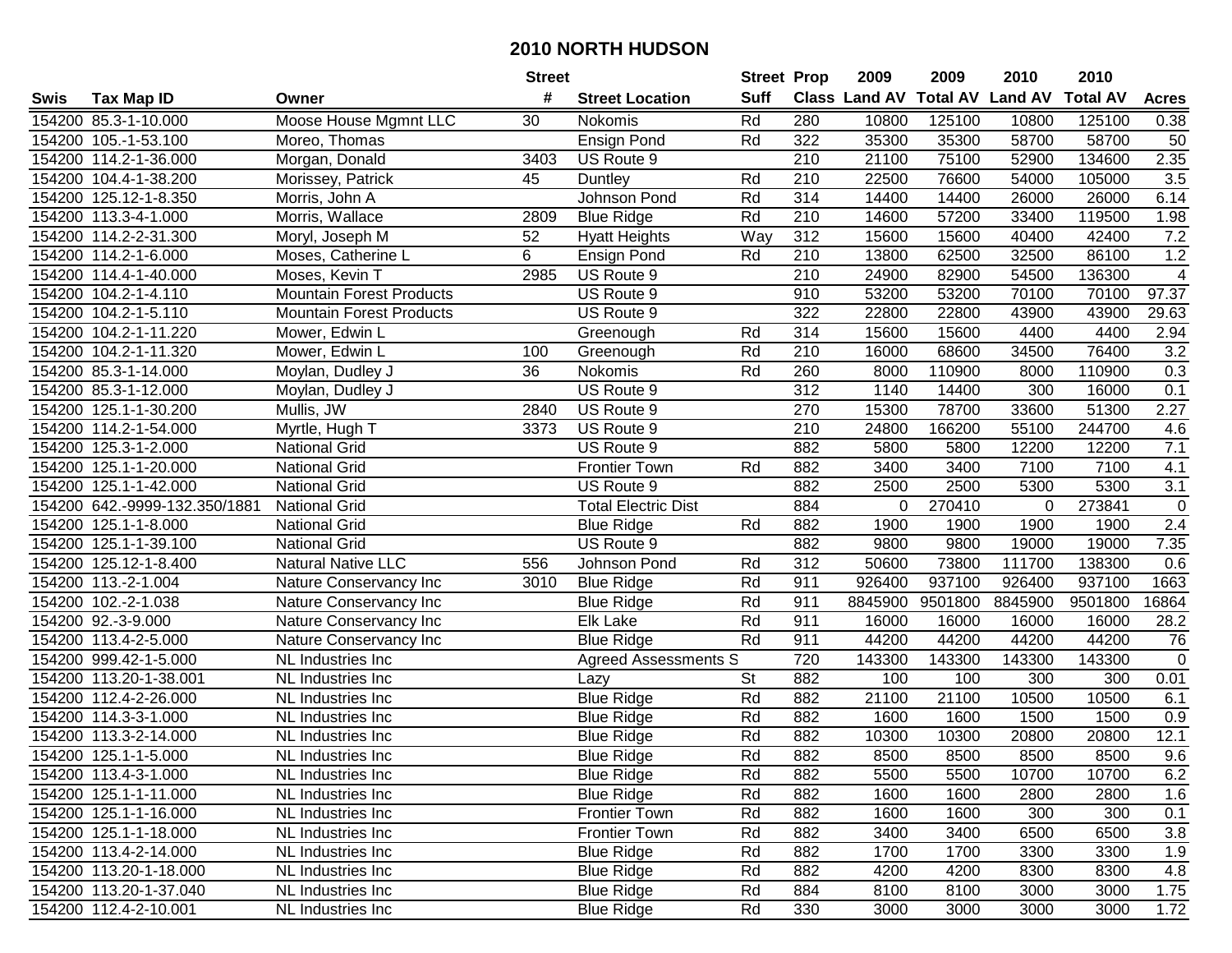|        |                               |                                 | <b>Street</b> |                             | <b>Street Prop</b> |                  | 2009                          | 2009    | 2010           | 2010            |                |
|--------|-------------------------------|---------------------------------|---------------|-----------------------------|--------------------|------------------|-------------------------------|---------|----------------|-----------------|----------------|
| Swis   | Tax Map ID                    | Owner                           | #             | <b>Street Location</b>      | <b>Suff</b>        |                  | <b>Class Land AV Total AV</b> |         | <b>Land AV</b> | <b>Total AV</b> | <b>Acres</b>   |
|        | 154200 85.3-1-10.000          | Moose House Mgmnt LLC           | 30            | Nokomis                     | Rd                 | 280              | 10800                         | 125100  | 10800          | 125100          | 0.38           |
|        | 154200 105.-1-53.100          | Moreo, Thomas                   |               | <b>Ensign Pond</b>          | Rd                 | 322              | 35300                         | 35300   | 58700          | 58700           | 50             |
|        | 154200 114.2-1-36.000         | Morgan, Donald                  | 3403          | US Route 9                  |                    | 210              | 21100                         | 75100   | 52900          | 134600          | 2.35           |
|        | 154200 104.4-1-38.200         | Morissey, Patrick               | 45            | Duntley                     | Rd                 | 210              | 22500                         | 76600   | 54000          | 105000          | 3.5            |
|        | 154200 125.12-1-8.350         | Morris, John A                  |               | Johnson Pond                | Rd                 | $\overline{314}$ | 14400                         | 14400   | 26000          | 26000           | 6.14           |
|        | 154200 113.3-4-1.000          | Morris, Wallace                 | 2809          | <b>Blue Ridge</b>           | Rd                 | $\overline{210}$ | 14600                         | 57200   | 33400          | 119500          | 1.98           |
|        | 154200 114.2-2-31.300         | Moryl, Joseph M                 | 52            | <b>Hyatt Heights</b>        | Way                | 312              | 15600                         | 15600   | 40400          | 42400           | 7.2            |
|        | 154200 114.2-1-6.000          | Moses, Catherine L              | 6             | Ensign Pond                 | Rd                 | 210              | 13800                         | 62500   | 32500          | 86100           | 1.2            |
|        | 154200 114.4-1-40.000         | Moses, Kevin T                  | 2985          | US Route 9                  |                    | $\overline{210}$ | 24900                         | 82900   | 54500          | 136300          | $\overline{4}$ |
|        | 154200 104.2-1-4.110          | <b>Mountain Forest Products</b> |               | US Route 9                  |                    | 910              | 53200                         | 53200   | 70100          | 70100           | 97.37          |
|        | 154200 104.2-1-5.110          | <b>Mountain Forest Products</b> |               | US Route 9                  |                    | 322              | 22800                         | 22800   | 43900          | 43900           | 29.63          |
|        | 154200 104.2-1-11.220         | Mower, Edwin L                  |               | Greenough                   | Rd                 | 314              | 15600                         | 15600   | 4400           | 4400            | 2.94           |
|        | 154200 104.2-1-11.320         | Mower, Edwin L                  | 100           | Greenough                   | Rd                 | 210              | 16000                         | 68600   | 34500          | 76400           | 3.2            |
|        | 154200 85.3-1-14.000          | Moylan, Dudley J                | 36            | Nokomis                     | Rd                 | 260              | 8000                          | 110900  | 8000           | 110900          | 0.3            |
|        | 154200 85.3-1-12.000          | Moylan, Dudley J                |               | US Route 9                  |                    | 312              | 1140                          | 14400   | 300            | 16000           | 0.1            |
|        | 154200 125.1-1-30.200         | Mullis, JW                      | 2840          | US Route 9                  |                    | 270              | 15300                         | 78700   | 33600          | 51300           | 2.27           |
|        | 154200 114.2-1-54.000         | Myrtle, Hugh T                  | 3373          | US Route 9                  |                    | $\overline{210}$ | 24800                         | 166200  | 55100          | 244700          | 4.6            |
|        | 154200 125.3-1-2.000          | <b>National Grid</b>            |               | US Route 9                  |                    | 882              | 5800                          | 5800    | 12200          | 12200           | 7.1            |
|        | 154200 125.1-1-20.000         | <b>National Grid</b>            |               | <b>Frontier Town</b>        | Rd                 | 882              | 3400                          | 3400    | 7100           | 7100            | 4.1            |
|        | 154200 125.1-1-42.000         | <b>National Grid</b>            |               | US Route 9                  |                    | 882              | 2500                          | 2500    | 5300           | 5300            | 3.1            |
|        | 154200 642.-9999-132.350/1881 | <b>National Grid</b>            |               | <b>Total Electric Dist</b>  |                    | 884              | 0                             | 270410  | 0              | 273841          | $\mathsf 0$    |
|        | 154200 125.1-1-8.000          | <b>National Grid</b>            |               | <b>Blue Ridge</b>           | Rd                 | 882              | 1900                          | 1900    | 1900           | 1900            | 2.4            |
| 154200 | 125.1-1-39.100                | <b>National Grid</b>            |               | US Route 9                  |                    | 882              | 9800                          | 9800    | 19000          | 19000           | 7.35           |
|        | 154200 125.12-1-8.400         | Natural Native LLC              | 556           | Johnson Pond                | Rd                 | 312              | 50600                         | 73800   | 111700         | 138300          | 0.6            |
|        | 154200 113.-2-1.004           | Nature Conservancy Inc          | 3010          | <b>Blue Ridge</b>           | Rd                 | 911              | 926400                        | 937100  | 926400         | 937100          | 1663           |
|        | 154200 102.-2-1.038           | Nature Conservancy Inc          |               | <b>Blue Ridge</b>           | Rd                 | 911              | 8845900                       | 9501800 | 8845900        | 9501800         | 16864          |
|        | 154200 92.-3-9.000            | Nature Conservancy Inc          |               | Elk Lake                    | Rd                 | 911              | 16000                         | 16000   | 16000          | 16000           | 28.2           |
|        | 154200 113.4-2-5.000          | Nature Conservancy Inc          |               | <b>Blue Ridge</b>           | Rd                 | 911              | 44200                         | 44200   | 44200          | 44200           | 76             |
|        | 154200 999.42-1-5.000         | NL Industries Inc               |               | <b>Agreed Assessments S</b> |                    | 720              | 143300                        | 143300  | 143300         | 143300          | $\mathbf 0$    |
|        | 154200 113.20-1-38.001        | NL Industries Inc               |               | Lazy                        | <b>St</b>          | 882              | 100                           | 100     | 300            | 300             | 0.01           |
|        | 154200 112.4-2-26.000         | NL Industries Inc               |               | <b>Blue Ridge</b>           | Rd                 | 882              | 21100                         | 21100   | 10500          | 10500           | 6.1            |
|        | 154200 114.3-3-1.000          | NL Industries Inc               |               | <b>Blue Ridge</b>           | Rd                 | 882              | 1600                          | 1600    | 1500           | 1500            | 0.9            |
|        | 154200 113.3-2-14.000         | NL Industries Inc               |               | <b>Blue Ridge</b>           | Rd                 | 882              | 10300                         | 10300   | 20800          | 20800           | 12.1           |
|        | 154200 125.1-1-5.000          | NL Industries Inc               |               | <b>Blue Ridge</b>           | Rd                 | 882              | 8500                          | 8500    | 8500           | 8500            | 9.6            |
|        | 154200 113.4-3-1.000          | NL Industries Inc               |               | <b>Blue Ridge</b>           | Rd                 | 882              | 5500                          | 5500    | 10700          | 10700           | 6.2            |
|        | 154200 125.1-1-11.000         | NL Industries Inc               |               | <b>Blue Ridge</b>           | Rd                 | 882              | 1600                          | 1600    | 2800           | 2800            | 1.6            |
|        | 154200 125.1-1-16.000         | NL Industries Inc               |               | <b>Frontier Town</b>        | Rd                 | 882              | 1600                          | 1600    | 300            | 300             | 0.1            |
|        | 154200 125.1-1-18.000         | NL Industries Inc               |               | <b>Frontier Town</b>        | Rd                 | 882              | 3400                          | 3400    | 6500           | 6500            | 3.8            |
|        | 154200 113.4-2-14.000         | NL Industries Inc               |               | <b>Blue Ridge</b>           | Rd                 | 882              | 1700                          | 1700    | 3300           | 3300            | 1.9            |
|        | 154200 113.20-1-18.000        | NL Industries Inc               |               | <b>Blue Ridge</b>           | Rd                 | 882              | 4200                          | 4200    | 8300           | 8300            | 4.8            |
|        | 154200 113.20-1-37.040        | NL Industries Inc               |               | <b>Blue Ridge</b>           | Rd                 | 884              | 8100                          | 8100    | 3000           | 3000            | 1.75           |
|        | 154200 112.4-2-10.001         | NL Industries Inc               |               | <b>Blue Ridge</b>           | Rd                 | 330              | 3000                          | 3000    | 3000           | 3000            | 1.72           |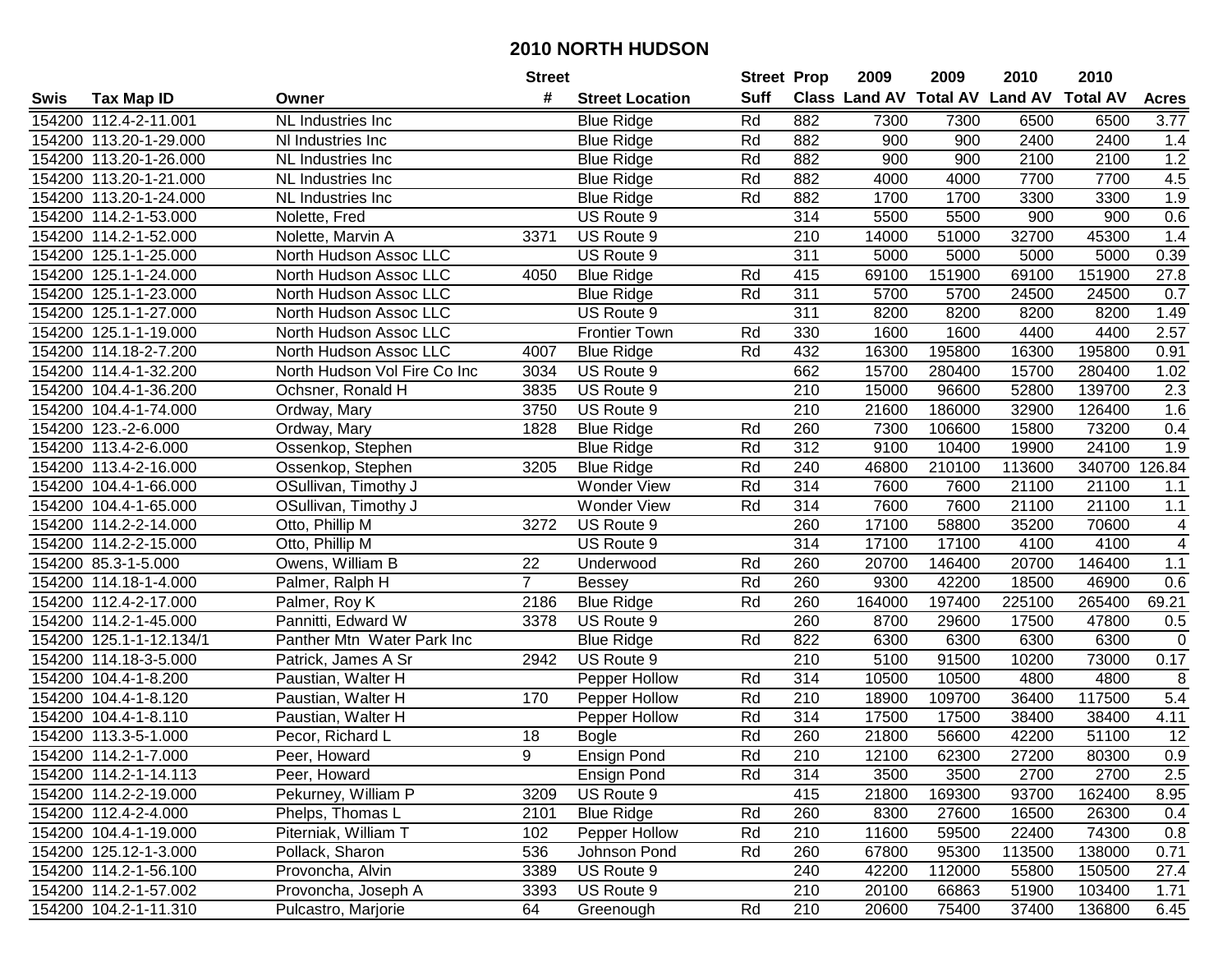|      |                         |                              | <b>Street</b>  |                        | <b>Street Prop</b> |                  | 2009   | 2009   | 2010                                    | 2010          |                |
|------|-------------------------|------------------------------|----------------|------------------------|--------------------|------------------|--------|--------|-----------------------------------------|---------------|----------------|
| Swis | <b>Tax Map ID</b>       | Owner                        | #              | <b>Street Location</b> | Suff               |                  |        |        | Class Land AV Total AV Land AV Total AV |               | <b>Acres</b>   |
|      | 154200 112.4-2-11.001   | NL Industries Inc            |                | <b>Blue Ridge</b>      | Rd                 | 882              | 7300   | 7300   | 6500                                    | 6500          | 3.77           |
|      | 154200 113.20-1-29.000  | NI Industries Inc            |                | <b>Blue Ridge</b>      | Rd                 | 882              | 900    | 900    | 2400                                    | 2400          | 1.4            |
|      | 154200 113.20-1-26.000  | NL Industries Inc            |                | <b>Blue Ridge</b>      | Rd                 | 882              | 900    | 900    | 2100                                    | 2100          | 1.2            |
|      | 154200 113.20-1-21.000  | NL Industries Inc            |                | <b>Blue Ridge</b>      | Rd                 | 882              | 4000   | 4000   | 7700                                    | 7700          | 4.5            |
|      | 154200 113.20-1-24.000  | NL Industries Inc            |                | <b>Blue Ridge</b>      | Rd                 | 882              | 1700   | 1700   | 3300                                    | 3300          | 1.9            |
|      | 154200 114.2-1-53.000   | Nolette, Fred                |                | US Route 9             |                    | 314              | 5500   | 5500   | 900                                     | 900           | 0.6            |
|      | 154200 114.2-1-52.000   | Nolette, Marvin A            | 3371           | US Route 9             |                    | $\overline{210}$ | 14000  | 51000  | 32700                                   | 45300         | 1.4            |
|      | 154200 125.1-1-25.000   | North Hudson Assoc LLC       |                | US Route 9             |                    | 311              | 5000   | 5000   | 5000                                    | 5000          | 0.39           |
|      | 154200 125.1-1-24.000   | North Hudson Assoc LLC       | 4050           | <b>Blue Ridge</b>      | Rd                 | 415              | 69100  | 151900 | 69100                                   | 151900        | 27.8           |
|      | 154200 125.1-1-23.000   | North Hudson Assoc LLC       |                | <b>Blue Ridge</b>      | Rd                 | $\overline{311}$ | 5700   | 5700   | 24500                                   | 24500         | 0.7            |
|      | 154200 125.1-1-27.000   | North Hudson Assoc LLC       |                | US Route 9             |                    | 311              | 8200   | 8200   | 8200                                    | 8200          | 1.49           |
|      | 154200 125.1-1-19.000   | North Hudson Assoc LLC       |                | <b>Frontier Town</b>   | Rd                 | 330              | 1600   | 1600   | 4400                                    | 4400          | 2.57           |
|      | 154200 114.18-2-7.200   | North Hudson Assoc LLC       | 4007           | <b>Blue Ridge</b>      | Rd                 | 432              | 16300  | 195800 | 16300                                   | 195800        | 0.91           |
|      | 154200 114.4-1-32.200   | North Hudson Vol Fire Co Inc | 3034           | US Route 9             |                    | 662              | 15700  | 280400 | 15700                                   | 280400        | 1.02           |
|      | 154200 104.4-1-36.200   | Ochsner, Ronald H            | 3835           | US Route 9             |                    | 210              | 15000  | 96600  | 52800                                   | 139700        | 2.3            |
|      | 154200 104.4-1-74.000   | Ordway, Mary                 | 3750           | US Route 9             |                    | $\overline{210}$ | 21600  | 186000 | 32900                                   | 126400        | 1.6            |
|      | 154200 123.-2-6.000     | Ordway, Mary                 | 1828           | <b>Blue Ridge</b>      | Rd                 | 260              | 7300   | 106600 | 15800                                   | 73200         | 0.4            |
|      | 154200 113.4-2-6.000    | Ossenkop, Stephen            |                | <b>Blue Ridge</b>      | Rd                 | 312              | 9100   | 10400  | 19900                                   | 24100         | 1.9            |
|      | 154200 113.4-2-16.000   | Ossenkop, Stephen            | 3205           | <b>Blue Ridge</b>      | Rd                 | 240              | 46800  | 210100 | 113600                                  | 340700 126.84 |                |
|      | 154200 104.4-1-66.000   | OSullivan, Timothy J         |                | <b>Wonder View</b>     | Rd                 | 314              | 7600   | 7600   | 21100                                   | 21100         | 1.1            |
|      | 154200 104.4-1-65.000   | OSullivan, Timothy J         |                | <b>Wonder View</b>     | Rd                 | 314              | 7600   | 7600   | 21100                                   | 21100         | $1.1$          |
|      | 154200 114.2-2-14.000   | Otto, Phillip M              | 3272           | US Route 9             |                    | 260              | 17100  | 58800  | 35200                                   | 70600         | 4              |
|      | 154200 114.2-2-15.000   | Otto, Phillip M              |                | US Route 9             |                    | 314              | 17100  | 17100  | 4100                                    | 4100          | $\overline{4}$ |
|      | 154200 85.3-1-5.000     | Owens, William B             | 22             | Underwood              | Rd                 | 260              | 20700  | 146400 | 20700                                   | 146400        | 1.1            |
|      | 154200 114.18-1-4.000   | Palmer, Ralph H              | $\overline{7}$ | <b>Bessey</b>          | Rd                 | 260              | 9300   | 42200  | 18500                                   | 46900         | 0.6            |
|      | 154200 112.4-2-17.000   | Palmer, Roy K                | 2186           | <b>Blue Ridge</b>      | Rd                 | 260              | 164000 | 197400 | 225100                                  | 265400        | 69.21          |
|      | 154200 114.2-1-45.000   | Pannitti, Edward W           | 3378           | US Route 9             |                    | 260              | 8700   | 29600  | 17500                                   | 47800         | 0.5            |
|      | 154200 125.1-1-12.134/1 | Panther Mtn Water Park Inc   |                | <b>Blue Ridge</b>      | Rd                 | 822              | 6300   | 6300   | 6300                                    | 6300          | $\mathbf 0$    |
|      | 154200 114.18-3-5.000   | Patrick, James A Sr          | 2942           | US Route 9             |                    | 210              | 5100   | 91500  | 10200                                   | 73000         | 0.17           |
|      | 154200 104.4-1-8.200    | Paustian, Walter H           |                | Pepper Hollow          | Rd                 | 314              | 10500  | 10500  | 4800                                    | 4800          | 8              |
|      | 154200 104.4-1-8.120    | Paustian, Walter H           | 170            | Pepper Hollow          | Rd                 | 210              | 18900  | 109700 | 36400                                   | 117500        | 5.4            |
|      | 154200 104.4-1-8.110    | Paustian, Walter H           |                | Pepper Hollow          | Rd                 | 314              | 17500  | 17500  | 38400                                   | 38400         | 4.11           |
|      | 154200 113.3-5-1.000    | Pecor, Richard L             | 18             | <b>Bogle</b>           | Rd                 | 260              | 21800  | 56600  | 42200                                   | 51100         | 12             |
|      | 154200 114.2-1-7.000    | Peer, Howard                 | 9              | <b>Ensign Pond</b>     | Rd                 | $\overline{210}$ | 12100  | 62300  | 27200                                   | 80300         | 0.9            |
|      | 154200 114.2-1-14.113   | Peer, Howard                 |                | Ensign Pond            | Rd                 | 314              | 3500   | 3500   | 2700                                    | 2700          | 2.5            |
|      | 154200 114.2-2-19.000   | Pekurney, William P          | 3209           | US Route 9             |                    | 415              | 21800  | 169300 | 93700                                   | 162400        | 8.95           |
|      | 154200 112.4-2-4.000    | Phelps, Thomas L             | 2101           | <b>Blue Ridge</b>      | Rd                 | 260              | 8300   | 27600  | 16500                                   | 26300         | 0.4            |
|      | 154200 104.4-1-19.000   | Piterniak, William T         | 102            | Pepper Hollow          | Rd                 | 210              | 11600  | 59500  | 22400                                   | 74300         | 0.8            |
|      | 154200 125.12-1-3.000   | Pollack, Sharon              | 536            | Johnson Pond           | Rd                 | 260              | 67800  | 95300  | 113500                                  | 138000        | 0.71           |
|      | 154200 114.2-1-56.100   | Provoncha, Alvin             | 3389           | US Route 9             |                    | 240              | 42200  | 112000 | 55800                                   | 150500        | 27.4           |
|      | 154200 114.2-1-57.002   | Provoncha, Joseph A          | 3393           | US Route 9             |                    | 210              | 20100  | 66863  | 51900                                   | 103400        | 1.71           |
|      | 154200 104.2-1-11.310   | Pulcastro, Marjorie          | 64             | Greenough              | Rd                 | 210              | 20600  | 75400  | 37400                                   | 136800        | 6.45           |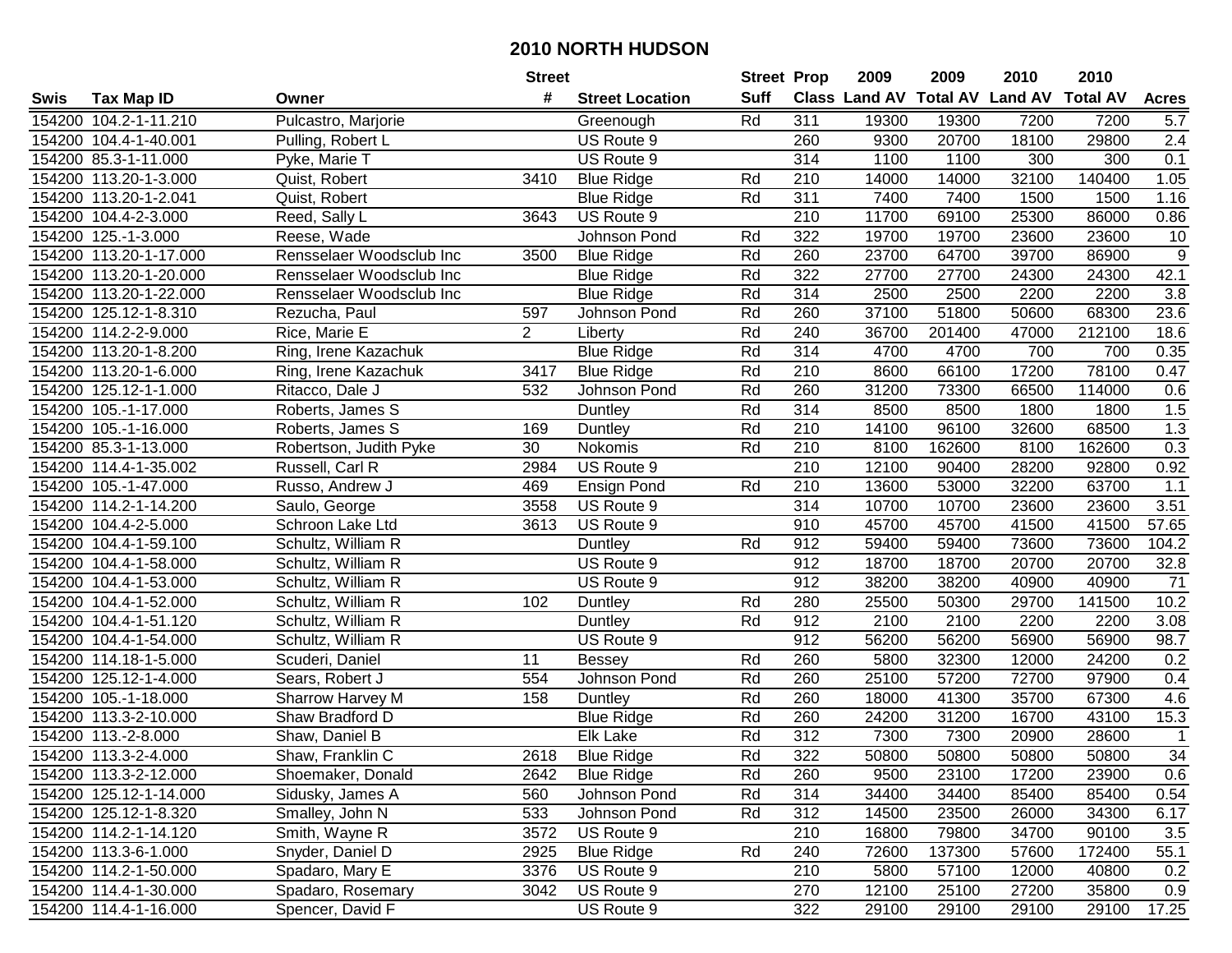| Class Land AV Total AV Land AV Total AV<br>#<br><b>Suff</b><br><b>Street Location</b><br><b>Tax Map ID</b><br><b>Acres</b><br>Swis<br>Owner<br>154200 104.2-1-11.210<br>Pulcastro, Marjorie<br>311<br>19300<br>19300<br>7200<br>7200<br>Rd<br>5.7<br>Greenough<br>US Route 9<br>260<br>9300<br>20700<br>18100<br>29800<br>2.4<br>154200 104.4-1-40.001<br>Pulling, Robert L<br>$\overline{314}$<br>1100<br>1100<br>300<br>300<br>0.1<br>154200 85.3-1-11.000<br>Pyke, Marie T<br>US Route 9<br>154200 113.20-1-3.000<br>3410<br><b>Blue Ridge</b><br>Rd<br>210<br>14000<br>14000<br>32100<br>140400<br>1.05<br>Quist, Robert<br>Rd<br>311<br>7400<br>154200 113.20-1-2.041<br><b>Blue Ridge</b><br>7400<br>1500<br>1500<br>1.16<br>Quist, Robert<br>3643<br>US Route 9<br>210<br>11700<br>69100<br>25300<br>86000<br>0.86<br>154200 104.4-2-3.000<br>Reed, Sally L<br>322<br>154200 125.-1-3.000<br>Rd<br>19700<br>19700<br>23600<br>23600<br>10<br>Reese, Wade<br>Johnson Pond<br>$\overline{9}$<br>Rd<br>260<br>23700<br>39700<br>154200 113.20-1-17.000<br>Rensselaer Woodsclub Inc<br>3500<br>64700<br>86900<br><b>Blue Ridge</b><br>322<br>Rd<br>27700<br>27700<br>42.1<br>154200 113.20-1-20.000<br>Rensselaer Woodsclub Inc<br>24300<br>24300<br><b>Blue Ridge</b><br>$\overline{3.8}$<br>Rd<br>314<br>2500<br>2200<br>154200 113.20-1-22.000<br><b>Blue Ridge</b><br>2500<br>2200<br>Rensselaer Woodsclub Inc<br>Rd<br>260<br>37100<br>50600<br>154200 125.12-1-8.310<br>597<br>Johnson Pond<br>51800<br>68300<br>23.6<br>Rezucha, Paul<br>$\overline{2}$<br>Rd<br>240<br>154200 114.2-2-9.000<br>36700<br>201400<br>47000<br>212100<br>18.6<br>Rice, Marie E<br>Liberty<br>Rd<br>314<br>154200 113.20-1-8.200<br>Ring, Irene Kazachuk<br><b>Blue Ridge</b><br>4700<br>4700<br>700<br>700<br>0.35<br>Rd<br>210<br>17200<br>78100<br>154200 113.20-1-6.000<br>Ring, Irene Kazachuk<br>3417<br><b>Blue Ridge</b><br>8600<br>66100<br>0.47<br>Rd<br>260<br>154200 125.12-1-1.000<br>532<br>Johnson Pond<br>31200<br>73300<br>66500<br>114000<br>0.6<br>Ritacco, Dale J<br>314<br>1.5<br>Rd<br>8500<br>1800<br>154200 105.-1-17.000<br>8500<br>1800<br>Roberts, James S<br>Duntley<br>1.3<br>Rd<br>210<br>154200 105.-1-16.000<br>14100<br>96100<br>32600<br>68500<br>Roberts, James S<br>169<br>Duntley<br>0.3<br>154200 85.3-1-13.000<br>30<br>Nokomis<br>Rd<br>210<br>8100<br>162600<br>8100<br>162600<br>Robertson, Judith Pyke<br>2984<br>US Route 9<br>210<br>12100<br>90400<br>28200<br>92800<br>0.92<br>154200 114.4-1-35.002<br>Russell, Carl R<br>Rd<br>210<br>13600<br>53000<br>32200<br>63700<br>1.1<br>154200 105.-1-47.000<br>Russo, Andrew J<br>469<br><b>Ensign Pond</b><br>314<br>154200 114.2-1-14.200<br>3558<br>US Route 9<br>10700<br>10700<br>23600<br>3.51<br>Saulo, George<br>23600<br>57.65<br>Schroon Lake Ltd<br>3613<br>US Route 9<br>910<br>45700<br>45700<br>41500<br>41500<br>154200 104.4-2-5.000<br>Rd<br>912<br>59400<br>59400<br>73600<br>104.2<br>154200 104.4-1-59.100<br>Schultz, William R<br>73600<br><b>Duntley</b><br>912<br>32.8<br>20700<br>20700<br>154200 104.4-1-58.000<br>US Route 9<br>18700<br>18700<br>Schultz, William R<br>912<br>US Route 9<br>38200<br>38200<br>40900<br>71<br>154200 104.4-1-53.000<br>Schultz, William R<br>40900<br>280<br>29700<br>141500<br>10.2<br>154200 104.4-1-52.000<br>Rd<br>25500<br>50300<br>Schultz, William R<br>102<br>Duntley<br>912<br>Rd<br>2100<br>2100<br>2200<br>2200<br>3.08<br>154200 104.4-1-51.120<br>Schultz, William R<br>Duntley<br>912<br>US Route 9<br>56200<br>56200<br>56900<br>56900<br>98.7<br>154200 104.4-1-54.000<br>Schultz, William R<br>260<br>Rd<br>5800<br>32300<br>12000<br>24200<br>0.2<br>154200 114.18-1-5.000<br>Scuderi, Daniel<br>11<br><b>Bessey</b><br><b>Johnson Pond</b><br>Rd<br>260<br>72700<br>97900<br>154200 125.12-1-4.000<br>554<br>25100<br>57200<br>0.4<br>Sears, Robert J<br>Rd<br>4.6<br>158<br>260<br>41300<br>35700<br>67300<br>154200 105.-1-18.000<br>18000<br>Sharrow Harvey M<br>Duntley<br>Rd<br>260<br>31200<br>16700<br>43100<br>15.3<br>154200 113.3-2-10.000<br>Shaw Bradford D<br><b>Blue Ridge</b><br>24200<br>Rd<br>312<br>154200 113.-2-8.000<br>Elk Lake<br>7300<br>7300<br>28600<br>$\mathbf 1$<br>Shaw, Daniel B<br>20900 |  |                  | <b>Street</b> |                   |    | <b>Street Prop</b> | 2009  | 2009  | 2010  | 2010  |    |
|-----------------------------------------------------------------------------------------------------------------------------------------------------------------------------------------------------------------------------------------------------------------------------------------------------------------------------------------------------------------------------------------------------------------------------------------------------------------------------------------------------------------------------------------------------------------------------------------------------------------------------------------------------------------------------------------------------------------------------------------------------------------------------------------------------------------------------------------------------------------------------------------------------------------------------------------------------------------------------------------------------------------------------------------------------------------------------------------------------------------------------------------------------------------------------------------------------------------------------------------------------------------------------------------------------------------------------------------------------------------------------------------------------------------------------------------------------------------------------------------------------------------------------------------------------------------------------------------------------------------------------------------------------------------------------------------------------------------------------------------------------------------------------------------------------------------------------------------------------------------------------------------------------------------------------------------------------------------------------------------------------------------------------------------------------------------------------------------------------------------------------------------------------------------------------------------------------------------------------------------------------------------------------------------------------------------------------------------------------------------------------------------------------------------------------------------------------------------------------------------------------------------------------------------------------------------------------------------------------------------------------------------------------------------------------------------------------------------------------------------------------------------------------------------------------------------------------------------------------------------------------------------------------------------------------------------------------------------------------------------------------------------------------------------------------------------------------------------------------------------------------------------------------------------------------------------------------------------------------------------------------------------------------------------------------------------------------------------------------------------------------------------------------------------------------------------------------------------------------------------------------------------------------------------------------------------------------------------------------------------------------------------------------------------------------------------------------------------------------------------------------------------------------------------------------------------------------------------------------------------------------------------------------------------------------------------------------------------------------------------------------------------------------------------------------------------------------------------------------------------------------------------------------------------------------------------------------------------------------------------------------------------------------------------|--|------------------|---------------|-------------------|----|--------------------|-------|-------|-------|-------|----|
|                                                                                                                                                                                                                                                                                                                                                                                                                                                                                                                                                                                                                                                                                                                                                                                                                                                                                                                                                                                                                                                                                                                                                                                                                                                                                                                                                                                                                                                                                                                                                                                                                                                                                                                                                                                                                                                                                                                                                                                                                                                                                                                                                                                                                                                                                                                                                                                                                                                                                                                                                                                                                                                                                                                                                                                                                                                                                                                                                                                                                                                                                                                                                                                                                                                                                                                                                                                                                                                                                                                                                                                                                                                                                                                                                                                                                                                                                                                                                                                                                                                                                                                                                                                                                                                                                         |  |                  |               |                   |    |                    |       |       |       |       |    |
|                                                                                                                                                                                                                                                                                                                                                                                                                                                                                                                                                                                                                                                                                                                                                                                                                                                                                                                                                                                                                                                                                                                                                                                                                                                                                                                                                                                                                                                                                                                                                                                                                                                                                                                                                                                                                                                                                                                                                                                                                                                                                                                                                                                                                                                                                                                                                                                                                                                                                                                                                                                                                                                                                                                                                                                                                                                                                                                                                                                                                                                                                                                                                                                                                                                                                                                                                                                                                                                                                                                                                                                                                                                                                                                                                                                                                                                                                                                                                                                                                                                                                                                                                                                                                                                                                         |  |                  |               |                   |    |                    |       |       |       |       |    |
|                                                                                                                                                                                                                                                                                                                                                                                                                                                                                                                                                                                                                                                                                                                                                                                                                                                                                                                                                                                                                                                                                                                                                                                                                                                                                                                                                                                                                                                                                                                                                                                                                                                                                                                                                                                                                                                                                                                                                                                                                                                                                                                                                                                                                                                                                                                                                                                                                                                                                                                                                                                                                                                                                                                                                                                                                                                                                                                                                                                                                                                                                                                                                                                                                                                                                                                                                                                                                                                                                                                                                                                                                                                                                                                                                                                                                                                                                                                                                                                                                                                                                                                                                                                                                                                                                         |  |                  |               |                   |    |                    |       |       |       |       |    |
|                                                                                                                                                                                                                                                                                                                                                                                                                                                                                                                                                                                                                                                                                                                                                                                                                                                                                                                                                                                                                                                                                                                                                                                                                                                                                                                                                                                                                                                                                                                                                                                                                                                                                                                                                                                                                                                                                                                                                                                                                                                                                                                                                                                                                                                                                                                                                                                                                                                                                                                                                                                                                                                                                                                                                                                                                                                                                                                                                                                                                                                                                                                                                                                                                                                                                                                                                                                                                                                                                                                                                                                                                                                                                                                                                                                                                                                                                                                                                                                                                                                                                                                                                                                                                                                                                         |  |                  |               |                   |    |                    |       |       |       |       |    |
|                                                                                                                                                                                                                                                                                                                                                                                                                                                                                                                                                                                                                                                                                                                                                                                                                                                                                                                                                                                                                                                                                                                                                                                                                                                                                                                                                                                                                                                                                                                                                                                                                                                                                                                                                                                                                                                                                                                                                                                                                                                                                                                                                                                                                                                                                                                                                                                                                                                                                                                                                                                                                                                                                                                                                                                                                                                                                                                                                                                                                                                                                                                                                                                                                                                                                                                                                                                                                                                                                                                                                                                                                                                                                                                                                                                                                                                                                                                                                                                                                                                                                                                                                                                                                                                                                         |  |                  |               |                   |    |                    |       |       |       |       |    |
|                                                                                                                                                                                                                                                                                                                                                                                                                                                                                                                                                                                                                                                                                                                                                                                                                                                                                                                                                                                                                                                                                                                                                                                                                                                                                                                                                                                                                                                                                                                                                                                                                                                                                                                                                                                                                                                                                                                                                                                                                                                                                                                                                                                                                                                                                                                                                                                                                                                                                                                                                                                                                                                                                                                                                                                                                                                                                                                                                                                                                                                                                                                                                                                                                                                                                                                                                                                                                                                                                                                                                                                                                                                                                                                                                                                                                                                                                                                                                                                                                                                                                                                                                                                                                                                                                         |  |                  |               |                   |    |                    |       |       |       |       |    |
|                                                                                                                                                                                                                                                                                                                                                                                                                                                                                                                                                                                                                                                                                                                                                                                                                                                                                                                                                                                                                                                                                                                                                                                                                                                                                                                                                                                                                                                                                                                                                                                                                                                                                                                                                                                                                                                                                                                                                                                                                                                                                                                                                                                                                                                                                                                                                                                                                                                                                                                                                                                                                                                                                                                                                                                                                                                                                                                                                                                                                                                                                                                                                                                                                                                                                                                                                                                                                                                                                                                                                                                                                                                                                                                                                                                                                                                                                                                                                                                                                                                                                                                                                                                                                                                                                         |  |                  |               |                   |    |                    |       |       |       |       |    |
|                                                                                                                                                                                                                                                                                                                                                                                                                                                                                                                                                                                                                                                                                                                                                                                                                                                                                                                                                                                                                                                                                                                                                                                                                                                                                                                                                                                                                                                                                                                                                                                                                                                                                                                                                                                                                                                                                                                                                                                                                                                                                                                                                                                                                                                                                                                                                                                                                                                                                                                                                                                                                                                                                                                                                                                                                                                                                                                                                                                                                                                                                                                                                                                                                                                                                                                                                                                                                                                                                                                                                                                                                                                                                                                                                                                                                                                                                                                                                                                                                                                                                                                                                                                                                                                                                         |  |                  |               |                   |    |                    |       |       |       |       |    |
|                                                                                                                                                                                                                                                                                                                                                                                                                                                                                                                                                                                                                                                                                                                                                                                                                                                                                                                                                                                                                                                                                                                                                                                                                                                                                                                                                                                                                                                                                                                                                                                                                                                                                                                                                                                                                                                                                                                                                                                                                                                                                                                                                                                                                                                                                                                                                                                                                                                                                                                                                                                                                                                                                                                                                                                                                                                                                                                                                                                                                                                                                                                                                                                                                                                                                                                                                                                                                                                                                                                                                                                                                                                                                                                                                                                                                                                                                                                                                                                                                                                                                                                                                                                                                                                                                         |  |                  |               |                   |    |                    |       |       |       |       |    |
|                                                                                                                                                                                                                                                                                                                                                                                                                                                                                                                                                                                                                                                                                                                                                                                                                                                                                                                                                                                                                                                                                                                                                                                                                                                                                                                                                                                                                                                                                                                                                                                                                                                                                                                                                                                                                                                                                                                                                                                                                                                                                                                                                                                                                                                                                                                                                                                                                                                                                                                                                                                                                                                                                                                                                                                                                                                                                                                                                                                                                                                                                                                                                                                                                                                                                                                                                                                                                                                                                                                                                                                                                                                                                                                                                                                                                                                                                                                                                                                                                                                                                                                                                                                                                                                                                         |  |                  |               |                   |    |                    |       |       |       |       |    |
|                                                                                                                                                                                                                                                                                                                                                                                                                                                                                                                                                                                                                                                                                                                                                                                                                                                                                                                                                                                                                                                                                                                                                                                                                                                                                                                                                                                                                                                                                                                                                                                                                                                                                                                                                                                                                                                                                                                                                                                                                                                                                                                                                                                                                                                                                                                                                                                                                                                                                                                                                                                                                                                                                                                                                                                                                                                                                                                                                                                                                                                                                                                                                                                                                                                                                                                                                                                                                                                                                                                                                                                                                                                                                                                                                                                                                                                                                                                                                                                                                                                                                                                                                                                                                                                                                         |  |                  |               |                   |    |                    |       |       |       |       |    |
|                                                                                                                                                                                                                                                                                                                                                                                                                                                                                                                                                                                                                                                                                                                                                                                                                                                                                                                                                                                                                                                                                                                                                                                                                                                                                                                                                                                                                                                                                                                                                                                                                                                                                                                                                                                                                                                                                                                                                                                                                                                                                                                                                                                                                                                                                                                                                                                                                                                                                                                                                                                                                                                                                                                                                                                                                                                                                                                                                                                                                                                                                                                                                                                                                                                                                                                                                                                                                                                                                                                                                                                                                                                                                                                                                                                                                                                                                                                                                                                                                                                                                                                                                                                                                                                                                         |  |                  |               |                   |    |                    |       |       |       |       |    |
|                                                                                                                                                                                                                                                                                                                                                                                                                                                                                                                                                                                                                                                                                                                                                                                                                                                                                                                                                                                                                                                                                                                                                                                                                                                                                                                                                                                                                                                                                                                                                                                                                                                                                                                                                                                                                                                                                                                                                                                                                                                                                                                                                                                                                                                                                                                                                                                                                                                                                                                                                                                                                                                                                                                                                                                                                                                                                                                                                                                                                                                                                                                                                                                                                                                                                                                                                                                                                                                                                                                                                                                                                                                                                                                                                                                                                                                                                                                                                                                                                                                                                                                                                                                                                                                                                         |  |                  |               |                   |    |                    |       |       |       |       |    |
|                                                                                                                                                                                                                                                                                                                                                                                                                                                                                                                                                                                                                                                                                                                                                                                                                                                                                                                                                                                                                                                                                                                                                                                                                                                                                                                                                                                                                                                                                                                                                                                                                                                                                                                                                                                                                                                                                                                                                                                                                                                                                                                                                                                                                                                                                                                                                                                                                                                                                                                                                                                                                                                                                                                                                                                                                                                                                                                                                                                                                                                                                                                                                                                                                                                                                                                                                                                                                                                                                                                                                                                                                                                                                                                                                                                                                                                                                                                                                                                                                                                                                                                                                                                                                                                                                         |  |                  |               |                   |    |                    |       |       |       |       |    |
|                                                                                                                                                                                                                                                                                                                                                                                                                                                                                                                                                                                                                                                                                                                                                                                                                                                                                                                                                                                                                                                                                                                                                                                                                                                                                                                                                                                                                                                                                                                                                                                                                                                                                                                                                                                                                                                                                                                                                                                                                                                                                                                                                                                                                                                                                                                                                                                                                                                                                                                                                                                                                                                                                                                                                                                                                                                                                                                                                                                                                                                                                                                                                                                                                                                                                                                                                                                                                                                                                                                                                                                                                                                                                                                                                                                                                                                                                                                                                                                                                                                                                                                                                                                                                                                                                         |  |                  |               |                   |    |                    |       |       |       |       |    |
|                                                                                                                                                                                                                                                                                                                                                                                                                                                                                                                                                                                                                                                                                                                                                                                                                                                                                                                                                                                                                                                                                                                                                                                                                                                                                                                                                                                                                                                                                                                                                                                                                                                                                                                                                                                                                                                                                                                                                                                                                                                                                                                                                                                                                                                                                                                                                                                                                                                                                                                                                                                                                                                                                                                                                                                                                                                                                                                                                                                                                                                                                                                                                                                                                                                                                                                                                                                                                                                                                                                                                                                                                                                                                                                                                                                                                                                                                                                                                                                                                                                                                                                                                                                                                                                                                         |  |                  |               |                   |    |                    |       |       |       |       |    |
|                                                                                                                                                                                                                                                                                                                                                                                                                                                                                                                                                                                                                                                                                                                                                                                                                                                                                                                                                                                                                                                                                                                                                                                                                                                                                                                                                                                                                                                                                                                                                                                                                                                                                                                                                                                                                                                                                                                                                                                                                                                                                                                                                                                                                                                                                                                                                                                                                                                                                                                                                                                                                                                                                                                                                                                                                                                                                                                                                                                                                                                                                                                                                                                                                                                                                                                                                                                                                                                                                                                                                                                                                                                                                                                                                                                                                                                                                                                                                                                                                                                                                                                                                                                                                                                                                         |  |                  |               |                   |    |                    |       |       |       |       |    |
|                                                                                                                                                                                                                                                                                                                                                                                                                                                                                                                                                                                                                                                                                                                                                                                                                                                                                                                                                                                                                                                                                                                                                                                                                                                                                                                                                                                                                                                                                                                                                                                                                                                                                                                                                                                                                                                                                                                                                                                                                                                                                                                                                                                                                                                                                                                                                                                                                                                                                                                                                                                                                                                                                                                                                                                                                                                                                                                                                                                                                                                                                                                                                                                                                                                                                                                                                                                                                                                                                                                                                                                                                                                                                                                                                                                                                                                                                                                                                                                                                                                                                                                                                                                                                                                                                         |  |                  |               |                   |    |                    |       |       |       |       |    |
|                                                                                                                                                                                                                                                                                                                                                                                                                                                                                                                                                                                                                                                                                                                                                                                                                                                                                                                                                                                                                                                                                                                                                                                                                                                                                                                                                                                                                                                                                                                                                                                                                                                                                                                                                                                                                                                                                                                                                                                                                                                                                                                                                                                                                                                                                                                                                                                                                                                                                                                                                                                                                                                                                                                                                                                                                                                                                                                                                                                                                                                                                                                                                                                                                                                                                                                                                                                                                                                                                                                                                                                                                                                                                                                                                                                                                                                                                                                                                                                                                                                                                                                                                                                                                                                                                         |  |                  |               |                   |    |                    |       |       |       |       |    |
|                                                                                                                                                                                                                                                                                                                                                                                                                                                                                                                                                                                                                                                                                                                                                                                                                                                                                                                                                                                                                                                                                                                                                                                                                                                                                                                                                                                                                                                                                                                                                                                                                                                                                                                                                                                                                                                                                                                                                                                                                                                                                                                                                                                                                                                                                                                                                                                                                                                                                                                                                                                                                                                                                                                                                                                                                                                                                                                                                                                                                                                                                                                                                                                                                                                                                                                                                                                                                                                                                                                                                                                                                                                                                                                                                                                                                                                                                                                                                                                                                                                                                                                                                                                                                                                                                         |  |                  |               |                   |    |                    |       |       |       |       |    |
|                                                                                                                                                                                                                                                                                                                                                                                                                                                                                                                                                                                                                                                                                                                                                                                                                                                                                                                                                                                                                                                                                                                                                                                                                                                                                                                                                                                                                                                                                                                                                                                                                                                                                                                                                                                                                                                                                                                                                                                                                                                                                                                                                                                                                                                                                                                                                                                                                                                                                                                                                                                                                                                                                                                                                                                                                                                                                                                                                                                                                                                                                                                                                                                                                                                                                                                                                                                                                                                                                                                                                                                                                                                                                                                                                                                                                                                                                                                                                                                                                                                                                                                                                                                                                                                                                         |  |                  |               |                   |    |                    |       |       |       |       |    |
|                                                                                                                                                                                                                                                                                                                                                                                                                                                                                                                                                                                                                                                                                                                                                                                                                                                                                                                                                                                                                                                                                                                                                                                                                                                                                                                                                                                                                                                                                                                                                                                                                                                                                                                                                                                                                                                                                                                                                                                                                                                                                                                                                                                                                                                                                                                                                                                                                                                                                                                                                                                                                                                                                                                                                                                                                                                                                                                                                                                                                                                                                                                                                                                                                                                                                                                                                                                                                                                                                                                                                                                                                                                                                                                                                                                                                                                                                                                                                                                                                                                                                                                                                                                                                                                                                         |  |                  |               |                   |    |                    |       |       |       |       |    |
|                                                                                                                                                                                                                                                                                                                                                                                                                                                                                                                                                                                                                                                                                                                                                                                                                                                                                                                                                                                                                                                                                                                                                                                                                                                                                                                                                                                                                                                                                                                                                                                                                                                                                                                                                                                                                                                                                                                                                                                                                                                                                                                                                                                                                                                                                                                                                                                                                                                                                                                                                                                                                                                                                                                                                                                                                                                                                                                                                                                                                                                                                                                                                                                                                                                                                                                                                                                                                                                                                                                                                                                                                                                                                                                                                                                                                                                                                                                                                                                                                                                                                                                                                                                                                                                                                         |  |                  |               |                   |    |                    |       |       |       |       |    |
|                                                                                                                                                                                                                                                                                                                                                                                                                                                                                                                                                                                                                                                                                                                                                                                                                                                                                                                                                                                                                                                                                                                                                                                                                                                                                                                                                                                                                                                                                                                                                                                                                                                                                                                                                                                                                                                                                                                                                                                                                                                                                                                                                                                                                                                                                                                                                                                                                                                                                                                                                                                                                                                                                                                                                                                                                                                                                                                                                                                                                                                                                                                                                                                                                                                                                                                                                                                                                                                                                                                                                                                                                                                                                                                                                                                                                                                                                                                                                                                                                                                                                                                                                                                                                                                                                         |  |                  |               |                   |    |                    |       |       |       |       |    |
|                                                                                                                                                                                                                                                                                                                                                                                                                                                                                                                                                                                                                                                                                                                                                                                                                                                                                                                                                                                                                                                                                                                                                                                                                                                                                                                                                                                                                                                                                                                                                                                                                                                                                                                                                                                                                                                                                                                                                                                                                                                                                                                                                                                                                                                                                                                                                                                                                                                                                                                                                                                                                                                                                                                                                                                                                                                                                                                                                                                                                                                                                                                                                                                                                                                                                                                                                                                                                                                                                                                                                                                                                                                                                                                                                                                                                                                                                                                                                                                                                                                                                                                                                                                                                                                                                         |  |                  |               |                   |    |                    |       |       |       |       |    |
|                                                                                                                                                                                                                                                                                                                                                                                                                                                                                                                                                                                                                                                                                                                                                                                                                                                                                                                                                                                                                                                                                                                                                                                                                                                                                                                                                                                                                                                                                                                                                                                                                                                                                                                                                                                                                                                                                                                                                                                                                                                                                                                                                                                                                                                                                                                                                                                                                                                                                                                                                                                                                                                                                                                                                                                                                                                                                                                                                                                                                                                                                                                                                                                                                                                                                                                                                                                                                                                                                                                                                                                                                                                                                                                                                                                                                                                                                                                                                                                                                                                                                                                                                                                                                                                                                         |  |                  |               |                   |    |                    |       |       |       |       |    |
|                                                                                                                                                                                                                                                                                                                                                                                                                                                                                                                                                                                                                                                                                                                                                                                                                                                                                                                                                                                                                                                                                                                                                                                                                                                                                                                                                                                                                                                                                                                                                                                                                                                                                                                                                                                                                                                                                                                                                                                                                                                                                                                                                                                                                                                                                                                                                                                                                                                                                                                                                                                                                                                                                                                                                                                                                                                                                                                                                                                                                                                                                                                                                                                                                                                                                                                                                                                                                                                                                                                                                                                                                                                                                                                                                                                                                                                                                                                                                                                                                                                                                                                                                                                                                                                                                         |  |                  |               |                   |    |                    |       |       |       |       |    |
|                                                                                                                                                                                                                                                                                                                                                                                                                                                                                                                                                                                                                                                                                                                                                                                                                                                                                                                                                                                                                                                                                                                                                                                                                                                                                                                                                                                                                                                                                                                                                                                                                                                                                                                                                                                                                                                                                                                                                                                                                                                                                                                                                                                                                                                                                                                                                                                                                                                                                                                                                                                                                                                                                                                                                                                                                                                                                                                                                                                                                                                                                                                                                                                                                                                                                                                                                                                                                                                                                                                                                                                                                                                                                                                                                                                                                                                                                                                                                                                                                                                                                                                                                                                                                                                                                         |  |                  |               |                   |    |                    |       |       |       |       |    |
|                                                                                                                                                                                                                                                                                                                                                                                                                                                                                                                                                                                                                                                                                                                                                                                                                                                                                                                                                                                                                                                                                                                                                                                                                                                                                                                                                                                                                                                                                                                                                                                                                                                                                                                                                                                                                                                                                                                                                                                                                                                                                                                                                                                                                                                                                                                                                                                                                                                                                                                                                                                                                                                                                                                                                                                                                                                                                                                                                                                                                                                                                                                                                                                                                                                                                                                                                                                                                                                                                                                                                                                                                                                                                                                                                                                                                                                                                                                                                                                                                                                                                                                                                                                                                                                                                         |  |                  |               |                   |    |                    |       |       |       |       |    |
|                                                                                                                                                                                                                                                                                                                                                                                                                                                                                                                                                                                                                                                                                                                                                                                                                                                                                                                                                                                                                                                                                                                                                                                                                                                                                                                                                                                                                                                                                                                                                                                                                                                                                                                                                                                                                                                                                                                                                                                                                                                                                                                                                                                                                                                                                                                                                                                                                                                                                                                                                                                                                                                                                                                                                                                                                                                                                                                                                                                                                                                                                                                                                                                                                                                                                                                                                                                                                                                                                                                                                                                                                                                                                                                                                                                                                                                                                                                                                                                                                                                                                                                                                                                                                                                                                         |  |                  |               |                   |    |                    |       |       |       |       |    |
|                                                                                                                                                                                                                                                                                                                                                                                                                                                                                                                                                                                                                                                                                                                                                                                                                                                                                                                                                                                                                                                                                                                                                                                                                                                                                                                                                                                                                                                                                                                                                                                                                                                                                                                                                                                                                                                                                                                                                                                                                                                                                                                                                                                                                                                                                                                                                                                                                                                                                                                                                                                                                                                                                                                                                                                                                                                                                                                                                                                                                                                                                                                                                                                                                                                                                                                                                                                                                                                                                                                                                                                                                                                                                                                                                                                                                                                                                                                                                                                                                                                                                                                                                                                                                                                                                         |  |                  |               |                   |    |                    |       |       |       |       |    |
|                                                                                                                                                                                                                                                                                                                                                                                                                                                                                                                                                                                                                                                                                                                                                                                                                                                                                                                                                                                                                                                                                                                                                                                                                                                                                                                                                                                                                                                                                                                                                                                                                                                                                                                                                                                                                                                                                                                                                                                                                                                                                                                                                                                                                                                                                                                                                                                                                                                                                                                                                                                                                                                                                                                                                                                                                                                                                                                                                                                                                                                                                                                                                                                                                                                                                                                                                                                                                                                                                                                                                                                                                                                                                                                                                                                                                                                                                                                                                                                                                                                                                                                                                                                                                                                                                         |  |                  |               |                   |    |                    |       |       |       |       |    |
|                                                                                                                                                                                                                                                                                                                                                                                                                                                                                                                                                                                                                                                                                                                                                                                                                                                                                                                                                                                                                                                                                                                                                                                                                                                                                                                                                                                                                                                                                                                                                                                                                                                                                                                                                                                                                                                                                                                                                                                                                                                                                                                                                                                                                                                                                                                                                                                                                                                                                                                                                                                                                                                                                                                                                                                                                                                                                                                                                                                                                                                                                                                                                                                                                                                                                                                                                                                                                                                                                                                                                                                                                                                                                                                                                                                                                                                                                                                                                                                                                                                                                                                                                                                                                                                                                         |  |                  |               |                   |    |                    |       |       |       |       |    |
|                                                                                                                                                                                                                                                                                                                                                                                                                                                                                                                                                                                                                                                                                                                                                                                                                                                                                                                                                                                                                                                                                                                                                                                                                                                                                                                                                                                                                                                                                                                                                                                                                                                                                                                                                                                                                                                                                                                                                                                                                                                                                                                                                                                                                                                                                                                                                                                                                                                                                                                                                                                                                                                                                                                                                                                                                                                                                                                                                                                                                                                                                                                                                                                                                                                                                                                                                                                                                                                                                                                                                                                                                                                                                                                                                                                                                                                                                                                                                                                                                                                                                                                                                                                                                                                                                         |  |                  |               |                   |    |                    |       |       |       |       |    |
| 154200 113.3-2-4.000                                                                                                                                                                                                                                                                                                                                                                                                                                                                                                                                                                                                                                                                                                                                                                                                                                                                                                                                                                                                                                                                                                                                                                                                                                                                                                                                                                                                                                                                                                                                                                                                                                                                                                                                                                                                                                                                                                                                                                                                                                                                                                                                                                                                                                                                                                                                                                                                                                                                                                                                                                                                                                                                                                                                                                                                                                                                                                                                                                                                                                                                                                                                                                                                                                                                                                                                                                                                                                                                                                                                                                                                                                                                                                                                                                                                                                                                                                                                                                                                                                                                                                                                                                                                                                                                    |  | Shaw, Franklin C | 2618          | <b>Blue Ridge</b> | Rd | 322                | 50800 | 50800 | 50800 | 50800 | 34 |
| 154200 113.3-2-12.000<br>Shoemaker, Donald<br><b>Blue Ridge</b><br>Rd<br>260<br>9500<br>23100<br>17200<br>23900<br>0.6<br>2642                                                                                                                                                                                                                                                                                                                                                                                                                                                                                                                                                                                                                                                                                                                                                                                                                                                                                                                                                                                                                                                                                                                                                                                                                                                                                                                                                                                                                                                                                                                                                                                                                                                                                                                                                                                                                                                                                                                                                                                                                                                                                                                                                                                                                                                                                                                                                                                                                                                                                                                                                                                                                                                                                                                                                                                                                                                                                                                                                                                                                                                                                                                                                                                                                                                                                                                                                                                                                                                                                                                                                                                                                                                                                                                                                                                                                                                                                                                                                                                                                                                                                                                                                          |  |                  |               |                   |    |                    |       |       |       |       |    |
| 154200 125.12-1-14.000<br>Johnson Pond<br>Rd<br>314<br>34400<br>34400<br>85400<br>85400<br>Sidusky, James A<br>560<br>0.54                                                                                                                                                                                                                                                                                                                                                                                                                                                                                                                                                                                                                                                                                                                                                                                                                                                                                                                                                                                                                                                                                                                                                                                                                                                                                                                                                                                                                                                                                                                                                                                                                                                                                                                                                                                                                                                                                                                                                                                                                                                                                                                                                                                                                                                                                                                                                                                                                                                                                                                                                                                                                                                                                                                                                                                                                                                                                                                                                                                                                                                                                                                                                                                                                                                                                                                                                                                                                                                                                                                                                                                                                                                                                                                                                                                                                                                                                                                                                                                                                                                                                                                                                              |  |                  |               |                   |    |                    |       |       |       |       |    |
| 312<br>154200 125.12-1-8.320<br>Smalley, John N<br>533<br>Johnson Pond<br>Rd<br>14500<br>23500<br>26000<br>34300<br>6.17                                                                                                                                                                                                                                                                                                                                                                                                                                                                                                                                                                                                                                                                                                                                                                                                                                                                                                                                                                                                                                                                                                                                                                                                                                                                                                                                                                                                                                                                                                                                                                                                                                                                                                                                                                                                                                                                                                                                                                                                                                                                                                                                                                                                                                                                                                                                                                                                                                                                                                                                                                                                                                                                                                                                                                                                                                                                                                                                                                                                                                                                                                                                                                                                                                                                                                                                                                                                                                                                                                                                                                                                                                                                                                                                                                                                                                                                                                                                                                                                                                                                                                                                                                |  |                  |               |                   |    |                    |       |       |       |       |    |
| 154200 114.2-1-14.120<br>210<br>Smith, Wayne R<br>3572<br>US Route 9<br>16800<br>79800<br>34700<br>90100<br>3.5                                                                                                                                                                                                                                                                                                                                                                                                                                                                                                                                                                                                                                                                                                                                                                                                                                                                                                                                                                                                                                                                                                                                                                                                                                                                                                                                                                                                                                                                                                                                                                                                                                                                                                                                                                                                                                                                                                                                                                                                                                                                                                                                                                                                                                                                                                                                                                                                                                                                                                                                                                                                                                                                                                                                                                                                                                                                                                                                                                                                                                                                                                                                                                                                                                                                                                                                                                                                                                                                                                                                                                                                                                                                                                                                                                                                                                                                                                                                                                                                                                                                                                                                                                         |  |                  |               |                   |    |                    |       |       |       |       |    |
| <b>Blue Ridge</b><br>Rd<br>154200 113.3-6-1.000<br>Snyder, Daniel D<br>2925<br>240<br>72600<br>137300<br>57600<br>172400<br>55.1                                                                                                                                                                                                                                                                                                                                                                                                                                                                                                                                                                                                                                                                                                                                                                                                                                                                                                                                                                                                                                                                                                                                                                                                                                                                                                                                                                                                                                                                                                                                                                                                                                                                                                                                                                                                                                                                                                                                                                                                                                                                                                                                                                                                                                                                                                                                                                                                                                                                                                                                                                                                                                                                                                                                                                                                                                                                                                                                                                                                                                                                                                                                                                                                                                                                                                                                                                                                                                                                                                                                                                                                                                                                                                                                                                                                                                                                                                                                                                                                                                                                                                                                                        |  |                  |               |                   |    |                    |       |       |       |       |    |
| US Route 9<br>210<br>5800<br>154200 114.2-1-50.000<br>Spadaro, Mary E<br>57100<br>12000<br>40800<br>0.2<br>3376                                                                                                                                                                                                                                                                                                                                                                                                                                                                                                                                                                                                                                                                                                                                                                                                                                                                                                                                                                                                                                                                                                                                                                                                                                                                                                                                                                                                                                                                                                                                                                                                                                                                                                                                                                                                                                                                                                                                                                                                                                                                                                                                                                                                                                                                                                                                                                                                                                                                                                                                                                                                                                                                                                                                                                                                                                                                                                                                                                                                                                                                                                                                                                                                                                                                                                                                                                                                                                                                                                                                                                                                                                                                                                                                                                                                                                                                                                                                                                                                                                                                                                                                                                         |  |                  |               |                   |    |                    |       |       |       |       |    |
| 154200 114.4-1-30.000<br>3042<br>US Route 9<br>270<br>12100<br>25100<br>27200<br>35800<br>0.9<br>Spadaro, Rosemary                                                                                                                                                                                                                                                                                                                                                                                                                                                                                                                                                                                                                                                                                                                                                                                                                                                                                                                                                                                                                                                                                                                                                                                                                                                                                                                                                                                                                                                                                                                                                                                                                                                                                                                                                                                                                                                                                                                                                                                                                                                                                                                                                                                                                                                                                                                                                                                                                                                                                                                                                                                                                                                                                                                                                                                                                                                                                                                                                                                                                                                                                                                                                                                                                                                                                                                                                                                                                                                                                                                                                                                                                                                                                                                                                                                                                                                                                                                                                                                                                                                                                                                                                                      |  |                  |               |                   |    |                    |       |       |       |       |    |
| 154200 114.4-1-16.000<br>Spencer, David F<br>US Route 9<br>322<br>29100<br>29100<br>29100<br>29100<br>17.25                                                                                                                                                                                                                                                                                                                                                                                                                                                                                                                                                                                                                                                                                                                                                                                                                                                                                                                                                                                                                                                                                                                                                                                                                                                                                                                                                                                                                                                                                                                                                                                                                                                                                                                                                                                                                                                                                                                                                                                                                                                                                                                                                                                                                                                                                                                                                                                                                                                                                                                                                                                                                                                                                                                                                                                                                                                                                                                                                                                                                                                                                                                                                                                                                                                                                                                                                                                                                                                                                                                                                                                                                                                                                                                                                                                                                                                                                                                                                                                                                                                                                                                                                                             |  |                  |               |                   |    |                    |       |       |       |       |    |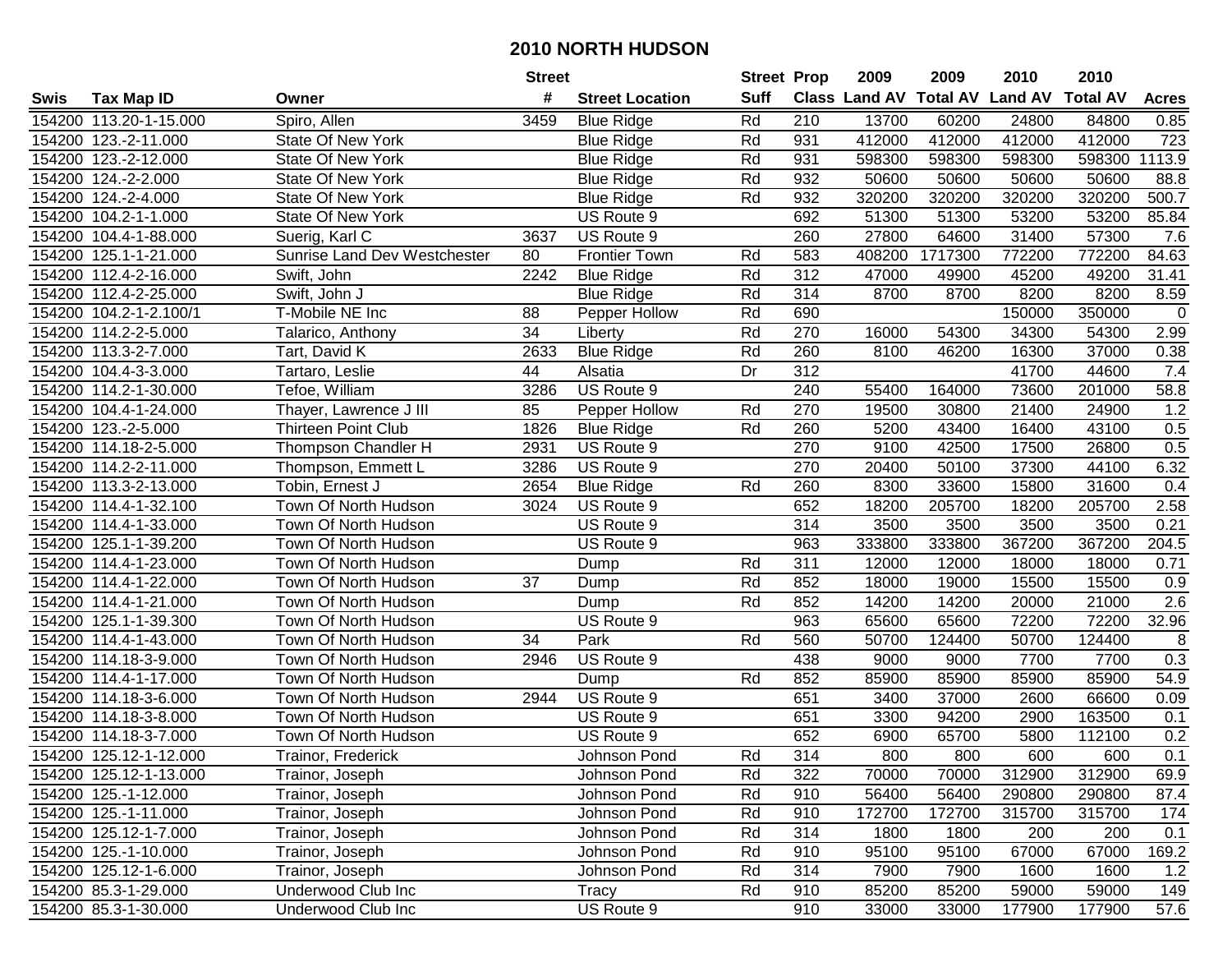|      |                        |                                     | <b>Street</b> |                        | <b>Street Prop</b> |                  | 2009                          | 2009    | 2010           | 2010            |              |
|------|------------------------|-------------------------------------|---------------|------------------------|--------------------|------------------|-------------------------------|---------|----------------|-----------------|--------------|
| Swis | <b>Tax Map ID</b>      | Owner                               | #             | <b>Street Location</b> | <b>Suff</b>        |                  | <b>Class Land AV Total AV</b> |         | <b>Land AV</b> | <b>Total AV</b> | <b>Acres</b> |
|      | 154200 113.20-1-15.000 | Spiro, Allen                        | 3459          | <b>Blue Ridge</b>      | Rd                 | 210              | 13700                         | 60200   | 24800          | 84800           | 0.85         |
|      | 154200 123.-2-11.000   | State Of New York                   |               | <b>Blue Ridge</b>      | Rd                 | 931              | 412000                        | 412000  | 412000         | 412000          | 723          |
|      | 154200 123.-2-12.000   | State Of New York                   |               | <b>Blue Ridge</b>      | Rd                 | 931              | 598300                        | 598300  | 598300         | 598300          | 1113.9       |
|      | 154200 124.-2-2.000    | State Of New York                   |               | <b>Blue Ridge</b>      | Rd                 | 932              | 50600                         | 50600   | 50600          | 50600           | 88.8         |
|      | 154200 124.-2-4.000    | State Of New York                   |               | <b>Blue Ridge</b>      | Rd                 | 932              | 320200                        | 320200  | 320200         | 320200          | 500.7        |
|      | 154200 104.2-1-1.000   | State Of New York                   |               | US Route 9             |                    | 692              | 51300                         | 51300   | 53200          | 53200           | 85.84        |
|      | 154200 104.4-1-88.000  | Suerig, Karl C                      | 3637          | US Route 9             |                    | 260              | 27800                         | 64600   | 31400          | 57300           | 7.6          |
|      | 154200 125.1-1-21.000  | <b>Sunrise Land Dev Westchester</b> | 80            | <b>Frontier Town</b>   | Rd                 | 583              | 408200                        | 1717300 | 772200         | 772200          | 84.63        |
|      | 154200 112.4-2-16.000  | Swift, John                         | 2242          | <b>Blue Ridge</b>      | Rd                 | 312              | 47000                         | 49900   | 45200          | 49200           | 31.41        |
|      | 154200 112.4-2-25.000  | Swift, John J                       |               | <b>Blue Ridge</b>      | Rd                 | 314              | 8700                          | 8700    | 8200           | 8200            | 8.59         |
|      | 154200 104.2-1-2.100/1 | T-Mobile NE Inc                     | 88            | Pepper Hollow          | Rd                 | 690              |                               |         | 150000         | 350000          | $\pmb{0}$    |
|      | 154200 114.2-2-5.000   | Talarico, Anthony                   | 34            | Liberty                | Rd                 | 270              | 16000                         | 54300   | 34300          | 54300           | 2.99         |
|      | 154200 113.3-2-7.000   | Tart, David K                       | 2633          | <b>Blue Ridge</b>      | Rd                 | 260              | 8100                          | 46200   | 16300          | 37000           | 0.38         |
|      | 154200 104.4-3-3.000   | Tartaro, Leslie                     | 44            | Alsatia                | Dr                 | 312              |                               |         | 41700          | 44600           | 7.4          |
|      | 154200 114.2-1-30.000  | Tefoe, William                      | 3286          | US Route 9             |                    | 240              | 55400                         | 164000  | 73600          | 201000          | 58.8         |
|      | 154200 104.4-1-24.000  | Thayer, Lawrence J III              | 85            | Pepper Hollow          | Rd                 | 270              | 19500                         | 30800   | 21400          | 24900           | 1.2          |
|      | 154200 123.-2-5.000    | <b>Thirteen Point Club</b>          | 1826          | <b>Blue Ridge</b>      | Rd                 | 260              | 5200                          | 43400   | 16400          | 43100           | 0.5          |
|      | 154200 114.18-2-5.000  | Thompson Chandler H                 | 2931          | US Route 9             |                    | 270              | 9100                          | 42500   | 17500          | 26800           | 0.5          |
|      | 154200 114.2-2-11.000  | Thompson, Emmett L                  | 3286          | US Route 9             |                    | 270              | 20400                         | 50100   | 37300          | 44100           | 6.32         |
|      | 154200 113.3-2-13.000  | Tobin, Ernest J                     | 2654          | <b>Blue Ridge</b>      | Rd                 | 260              | 8300                          | 33600   | 15800          | 31600           | 0.4          |
|      | 154200 114.4-1-32.100  | Town Of North Hudson                | 3024          | US Route 9             |                    | 652              | 18200                         | 205700  | 18200          | 205700          | 2.58         |
|      | 154200 114.4-1-33.000  | Town Of North Hudson                |               | US Route 9             |                    | 314              | 3500                          | 3500    | 3500           | 3500            | 0.21         |
|      | 154200 125.1-1-39.200  | Town Of North Hudson                |               | US Route 9             |                    | 963              | 333800                        | 333800  | 367200         | 367200          | 204.5        |
|      | 154200 114.4-1-23.000  | Town Of North Hudson                |               | Dump                   | Rd                 | 311              | 12000                         | 12000   | 18000          | 18000           | 0.71         |
|      | 154200 114.4-1-22.000  | Town Of North Hudson                | 37            | Dump                   | Rd                 | 852              | 18000                         | 19000   | 15500          | 15500           | 0.9          |
|      | 154200 114.4-1-21.000  | Town Of North Hudson                |               | Dump                   | Rd                 | 852              | 14200                         | 14200   | 20000          | 21000           | 2.6          |
|      | 154200 125.1-1-39.300  | Town Of North Hudson                |               | US Route 9             |                    | 963              | 65600                         | 65600   | 72200          | 72200           | 32.96        |
|      | 154200 114.4-1-43.000  | Town Of North Hudson                | 34            | Park                   | Rd                 | 560              | 50700                         | 124400  | 50700          | 124400          | 8            |
|      | 154200 114.18-3-9.000  | Town Of North Hudson                | 2946          | US Route 9             |                    | 438              | 9000                          | 9000    | 7700           | 7700            | 0.3          |
|      | 154200 114.4-1-17.000  | Town Of North Hudson                |               | Dump                   | Rd                 | 852              | 85900                         | 85900   | 85900          | 85900           | 54.9         |
|      | 154200 114.18-3-6.000  | Town Of North Hudson                | 2944          | US Route 9             |                    | 651              | 3400                          | 37000   | 2600           | 66600           | 0.09         |
|      | 154200 114.18-3-8.000  | Town Of North Hudson                |               | US Route 9             |                    | 651              | 3300                          | 94200   | 2900           | 163500          | 0.1          |
|      | 154200 114.18-3-7.000  | Town Of North Hudson                |               | US Route 9             |                    | 652              | 6900                          | 65700   | 5800           | 112100          | 0.2          |
|      | 154200 125.12-1-12.000 | Trainor, Frederick                  |               | Johnson Pond           | Rd                 | $\overline{314}$ | 800                           | 800     | 600            | 600             | 0.1          |
|      | 154200 125.12-1-13.000 | Trainor, Joseph                     |               | Johnson Pond           | Rd                 | 322              | 70000                         | 70000   | 312900         | 312900          | 69.9         |
|      | 154200 125.-1-12.000   | Trainor, Joseph                     |               | Johnson Pond           | Rd                 | 910              | 56400                         | 56400   | 290800         | 290800          | 87.4         |
|      | 154200 125.-1-11.000   | Trainor, Joseph                     |               | Johnson Pond           | Rd                 | 910              | 172700                        | 172700  | 315700         | 315700          | 174          |
|      | 154200 125.12-1-7.000  | Trainor, Joseph                     |               | Johnson Pond           | Rd                 | 314              | 1800                          | 1800    | 200            | 200             | 0.1          |
|      | 154200 125.-1-10.000   | Trainor, Joseph                     |               | Johnson Pond           | Rd                 | 910              | 95100                         | 95100   | 67000          | 67000           | 169.2        |
|      | 154200 125.12-1-6.000  | Trainor, Joseph                     |               | Johnson Pond           | Rd                 | 314              | 7900                          | 7900    | 1600           | 1600            | 1.2          |
|      | 154200 85.3-1-29.000   | Underwood Club Inc                  |               | Tracy                  | Rd                 | 910              | 85200                         | 85200   | 59000          | 59000           | 149          |
|      | 154200 85.3-1-30.000   | Underwood Club Inc                  |               | US Route 9             |                    | 910              | 33000                         | 33000   | 177900         | 177900          | 57.6         |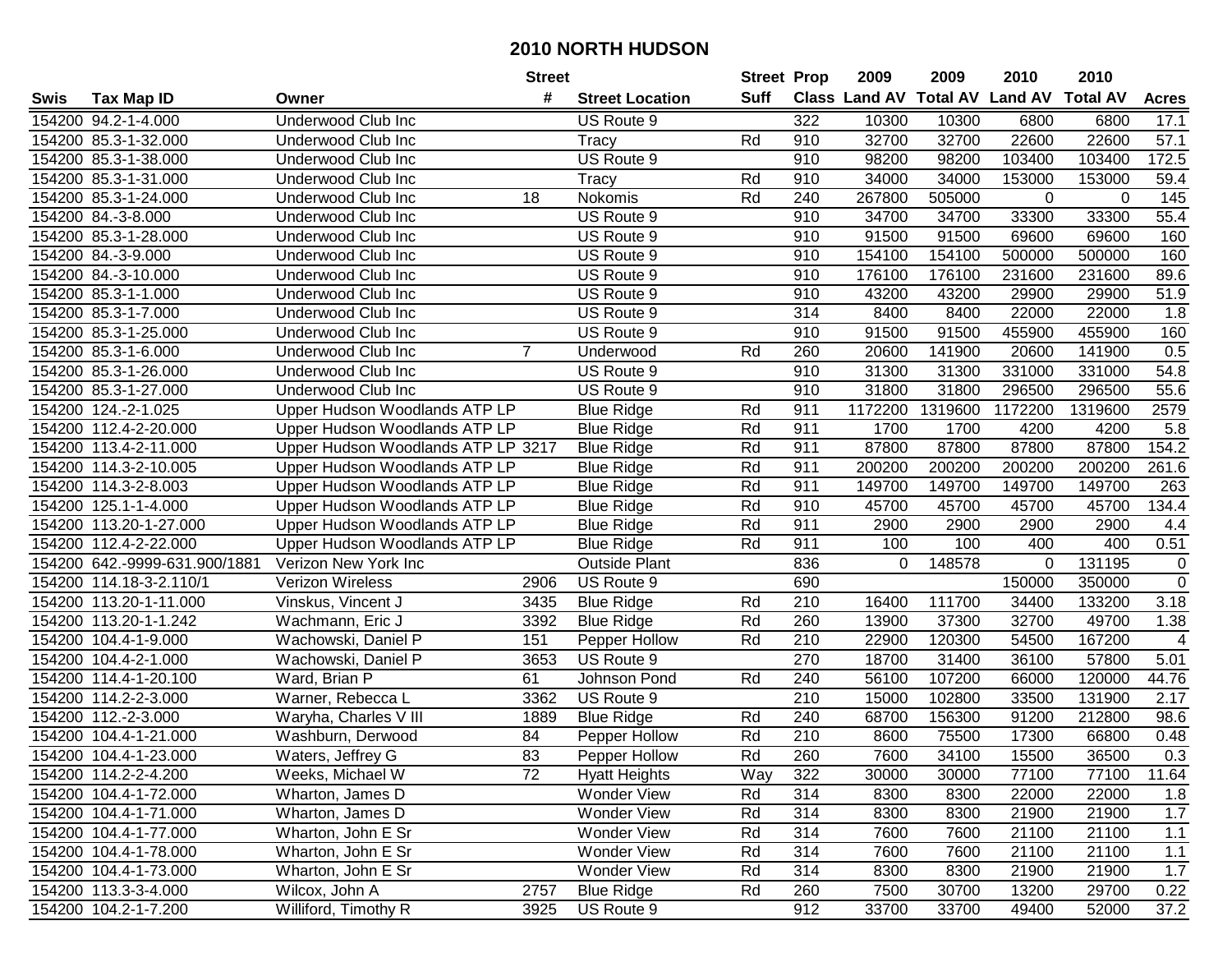|      |                               |                                    | <b>Street</b>  |                        | <b>Street Prop</b> |                  | 2009                          | 2009    | 2010           | 2010            |              |
|------|-------------------------------|------------------------------------|----------------|------------------------|--------------------|------------------|-------------------------------|---------|----------------|-----------------|--------------|
| Swis | <b>Tax Map ID</b>             | Owner                              | #              | <b>Street Location</b> | <b>Suff</b>        |                  | <b>Class Land AV Total AV</b> |         | <b>Land AV</b> | <b>Total AV</b> | <b>Acres</b> |
|      | 154200 94.2-1-4.000           | Underwood Club Inc                 |                | US Route 9             |                    | 322              | 10300                         | 10300   | 6800           | 6800            | 17.1         |
|      | 154200 85.3-1-32.000          | Underwood Club Inc                 |                | Tracy                  | Rd                 | 910              | 32700                         | 32700   | 22600          | 22600           | 57.1         |
|      | 154200 85.3-1-38.000          | Underwood Club Inc                 |                | US Route 9             |                    | 910              | 98200                         | 98200   | 103400         | 103400          | 172.5        |
|      | 154200 85.3-1-31.000          | Underwood Club Inc                 |                | Tracy                  | Rd                 | 910              | 34000                         | 34000   | 153000         | 153000          | 59.4         |
|      | 154200 85.3-1-24.000          | Underwood Club Inc                 | 18             | Nokomis                | Rd                 | 240              | 267800                        | 505000  | 0              | $\Omega$        | 145          |
|      | 154200 84.-3-8.000            | Underwood Club Inc                 |                | US Route 9             |                    | 910              | 34700                         | 34700   | 33300          | 33300           | 55.4         |
|      | 154200 85.3-1-28.000          | Underwood Club Inc                 |                | US Route 9             |                    | 910              | 91500                         | 91500   | 69600          | 69600           | 160          |
|      | 154200 84.-3-9.000            | Underwood Club Inc                 |                | US Route 9             |                    | 910              | 154100                        | 154100  | 500000         | 500000          | 160          |
|      | 154200 84.-3-10.000           | <b>Underwood Club Inc</b>          |                | US Route 9             |                    | 910              | 176100                        | 176100  | 231600         | 231600          | 89.6         |
|      | 154200 85.3-1-1.000           | Underwood Club Inc                 |                | US Route 9             |                    | 910              | 43200                         | 43200   | 29900          | 29900           | 51.9         |
|      | 154200 85.3-1-7.000           | Underwood Club Inc                 |                | US Route 9             |                    | 314              | 8400                          | 8400    | 22000          | 22000           | 1.8          |
|      | 154200 85.3-1-25.000          | Underwood Club Inc                 |                | US Route 9             |                    | 910              | 91500                         | 91500   | 455900         | 455900          | 160          |
|      | 154200 85.3-1-6.000           | Underwood Club Inc                 | $\overline{7}$ | Underwood              | Rd                 | 260              | 20600                         | 141900  | 20600          | 141900          | 0.5          |
|      | 154200 85.3-1-26.000          | Underwood Club Inc                 |                | US Route 9             |                    | 910              | 31300                         | 31300   | 331000         | 331000          | 54.8         |
|      | 154200 85.3-1-27.000          | Underwood Club Inc                 |                | US Route 9             |                    | 910              | 31800                         | 31800   | 296500         | 296500          | 55.6         |
|      | 154200 124.-2-1.025           | Upper Hudson Woodlands ATP LP      |                | <b>Blue Ridge</b>      | Rd                 | 911              | 1172200                       | 1319600 | 1172200        | 1319600         | 2579         |
|      | 154200 112.4-2-20.000         | Upper Hudson Woodlands ATP LP      |                | <b>Blue Ridge</b>      | Rd                 | 911              | 1700                          | 1700    | 4200           | 4200            | 5.8          |
|      | 154200 113.4-2-11.000         | Upper Hudson Woodlands ATP LP 3217 |                | <b>Blue Ridge</b>      | Rd                 | 911              | 87800                         | 87800   | 87800          | 87800           | 154.2        |
|      | 154200 114.3-2-10.005         | Upper Hudson Woodlands ATP LP      |                | <b>Blue Ridge</b>      | Rd                 | 911              | 200200                        | 200200  | 200200         | 200200          | 261.6        |
|      | 154200 114.3-2-8.003          | Upper Hudson Woodlands ATP LP      |                | <b>Blue Ridge</b>      | Rd                 | 911              | 149700                        | 149700  | 149700         | 149700          | 263          |
|      | 154200 125.1-1-4.000          | Upper Hudson Woodlands ATP LP      |                | <b>Blue Ridge</b>      | Rd                 | 910              | 45700                         | 45700   | 45700          | 45700           | 134.4        |
|      | 154200 113.20-1-27.000        | Upper Hudson Woodlands ATP LP      |                | <b>Blue Ridge</b>      | Rd                 | 911              | 2900                          | 2900    | 2900           | 2900            | 4.4          |
|      | 154200 112.4-2-22.000         | Upper Hudson Woodlands ATP LP      |                | <b>Blue Ridge</b>      | Rd                 | 911              | 100                           | 100     | 400            | 400             | 0.51         |
|      | 154200 642.-9999-631.900/1881 | Verizon New York Inc               |                | <b>Outside Plant</b>   |                    | 836              | 0                             | 148578  | 0              | 131195          | $\mathbf 0$  |
|      | 154200 114.18-3-2.110/1       | Verizon Wireless                   | 2906           | US Route 9             |                    | 690              |                               |         | 150000         | 350000          | $\mathbf 0$  |
|      | 154200 113.20-1-11.000        | Vinskus, Vincent J                 | 3435           | <b>Blue Ridge</b>      | Rd                 | 210              | 16400                         | 111700  | 34400          | 133200          | 3.18         |
|      | 154200 113.20-1-1.242         | Wachmann, Eric J                   | 3392           | <b>Blue Ridge</b>      | Rd                 | 260              | 13900                         | 37300   | 32700          | 49700           | 1.38         |
|      | 154200 104.4-1-9.000          | Wachowski, Daniel P                | 151            | Pepper Hollow          | Rd                 | 210              | 22900                         | 120300  | 54500          | 167200          | 4            |
|      | 154200 104.4-2-1.000          | Wachowski, Daniel P                | 3653           | US Route 9             |                    | 270              | 18700                         | 31400   | 36100          | 57800           | 5.01         |
|      | 154200 114.4-1-20.100         | Ward, Brian P                      | 61             | Johnson Pond           | Rd                 | 240              | 56100                         | 107200  | 66000          | 120000          | 44.76        |
|      | 154200 114.2-2-3.000          | Warner, Rebecca L                  | 3362           | US Route 9             |                    | $\overline{210}$ | 15000                         | 102800  | 33500          | 131900          | 2.17         |
|      | 154200 112.-2-3.000           | Waryha, Charles V III              | 1889           | <b>Blue Ridge</b>      | Rd                 | 240              | 68700                         | 156300  | 91200          | 212800          | 98.6         |
|      | 154200 104.4-1-21.000         | Washburn, Derwood                  | 84             | Pepper Hollow          | Rd                 | $\overline{210}$ | 8600                          | 75500   | 17300          | 66800           | 0.48         |
|      | 154200 104.4-1-23.000         | Waters, Jeffrey G                  | 83             | Pepper Hollow          | Rd                 | 260              | 7600                          | 34100   | 15500          | 36500           | 0.3          |
|      | 154200 114.2-2-4.200          | Weeks, Michael W                   | 72             | <b>Hyatt Heights</b>   | Way                | 322              | 30000                         | 30000   | 77100          | 77100           | 11.64        |
|      | 154200 104.4-1-72.000         | Wharton, James D                   |                | Wonder View            | Rd                 | 314              | 8300                          | 8300    | 22000          | 22000           | 1.8          |
|      | 154200 104.4-1-71.000         | Wharton, James D                   |                | Wonder View            | Rd                 | 314              | 8300                          | 8300    | 21900          | 21900           | 1.7          |
|      | 154200 104.4-1-77.000         | Wharton, John E Sr                 |                | Wonder View            | Rd                 | 314              | 7600                          | 7600    | 21100          | 21100           | 1.1          |
|      | 154200 104.4-1-78.000         | Wharton, John E Sr                 |                | Wonder View            | Rd                 | 314              | 7600                          | 7600    | 21100          | 21100           | 1.1          |
|      | 154200 104.4-1-73.000         | Wharton, John E Sr                 |                | Wonder View            | Rd                 | 314              | 8300                          | 8300    | 21900          | 21900           | 1.7          |
|      | 154200 113.3-3-4.000          | Wilcox, John A                     | 2757           | <b>Blue Ridge</b>      | Rd                 | 260              | 7500                          | 30700   | 13200          | 29700           | 0.22         |
|      | 154200 104.2-1-7.200          | Williford, Timothy R               | 3925           | US Route 9             |                    | 912              | 33700                         | 33700   | 49400          | 52000           | 37.2         |